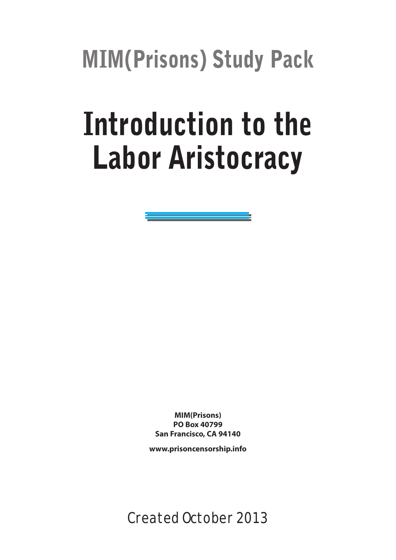MIM(Prisons) Study Pack

# Introduction to the Labor Aristocracy

**MIM(Prisons) PO Box 40799 San Francisco, CA 94140**

**www.prisoncensorship.info**

Created October 2013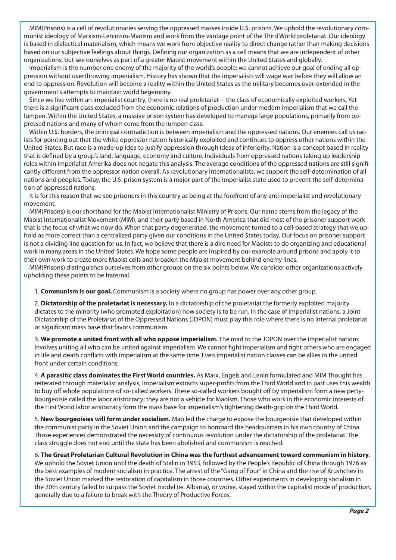MIM(Prisons) is a cell of revolutionaries serving the oppressed masses inside U.\$. prisons. We uphold the revolutionary communist ideology of Marxism-Leninism-Maoism and work from the vantage point of the Third World proletariat. Our ideology is based in dialectical materialism, which means we work from objective reality to direct change rather than making decisions based on our subjective feelings about things. Defining our organization as a cell means that we are independent of other organizations, but see ourselves as part of a greater Maoist movement within the United \$tates and globally.

Imperialism is the number one enemy of the majority of the world's people; we cannot achieve our goal of ending all oppression without overthrowing imperialism. History has shown that the imperialists will wage war before they will allow an end to oppression. Revolution will become a reality within the United \$tates as the military becomes over-extended in the government's attempts to maintain world hegemony.

Since we live within an imperialist country, there is no real proletariat -- the class of economically exploited workers. Yet there is a significant class excluded from the economic relations of production under modern imperialism that we call the lumpen. Within the United \$tates, a massive prison system has developed to manage large populations, primarily from oppressed nations and many of whom come from the lumpen class.

Within U.\$. borders, the principal contradiction is between imperialism and the oppressed nations. Our enemies call us racists for pointing out that the white oppressor nation historically exploited and continues to oppress other nations within the United \$tates. But race is a made-up idea to justify oppression through ideas of inferiority. Nation is a concept based in reality that is defined by a group's land, language, economy and culture. Individuals from oppressed nations taking up leadership roles within imperialist Amerika does not negate this analysis. The average conditions of the oppressed nations are still significantly different from the oppressor nation overall. As revolutionary internationalists, we support the self-determination of all nations and peoples. Today, the U.\$. prison system is a major part of the imperialist state used to prevent the self-determination of oppressed nations.

It is for this reason that we see prisoners in this country as being at the forefront of any anti-imperialist and revolutionary movement.

MIM(Prisons) is our shorthand for the Maoist Internationalist Ministry of Prisons. Our name stems from the legacy of the Maoist Internationalist Movement (MIM), and their party based in North America that did most of the prisoner support work that is the focus of what we now do. When that party degenerated, the movement turned to a cell-based strategy that we uphold as more correct than a centralized party given our conditions in the United \$tates today. Our focus on prisoner support is not a dividing line question for us. In fact, we believe that there is a dire need for Maoists to do organizing and educational work in many areas in the United \$tates. We hope some people are inspired by our example around prisons and apply it to their own work to create more Maoist cells and broaden the Maoist movement behind enemy lines.

MIM(Prisons) distinguishes ourselves from other groups on the six points below. We consider other organizations actively upholding these points to be fraternal.

1. **Communism is our goal.** Communism is a society where no group has power over any other group.

2. **Dictatorship of the proletariat is necessary.** In a dictatorship of the proletariat the formerly exploited majority dictates to the minority (who promoted exploitation) how society is to be run. In the case of imperialist nations, a Joint Dictatorship of the Proletariat of the Oppressed Nations (JDPON) must play this role where there is no internal proletariat or significant mass base that favors communism.

3. **We promote a united front with all who oppose imperialism.** The road to the JDPON over the imperialist nations involves uniting all who can be united against imperialism. We cannot fight imperialism and fight others who are engaged in life and death conflicts with imperialism at the same time. Even imperialist nation classes can be allies in the united front under certain conditions.

4. **A parasitic class dominates the First World countries.** As Marx, Engels and Lenin formulated and MIM Thought has reiterated through materialist analysis, imperialism extracts super-profits from the Third World and in part uses this wealth to buy off whole populations of so-called workers. These so-called workers bought off by imperialism form a new pettybourgeoisie called the labor aristocracy; they are not a vehicle for Maoism. Those who work in the economic interests of the First World labor aristocracy form the mass base for imperialism's tightening death-grip on the Third World.

5. **New bourgeoisies will form under socialism.** Mao led the charge to expose the bourgeoisie that developed within the communist party in the Soviet Union and the campaign to bombard the headquarters in his own country of China. Those experiences demonstrated the necessity of continuous revolution under the dictatorship of the proletariat. The class struggle does not end until the state has been abolished and communism is reached.

6. **The Great Proletarian Cultural Revolution in China was the furthest advancement toward communism in history**. We uphold the Soviet Union until the death of Stalin in 1953, followed by the People's Republic of China through 1976 as the best examples of modern socialism in practice. The arrest of the "Gang of Four" in China and the rise of Krushchev in the Soviet Union marked the restoration of capitalism in those countries. Other experiments in developing socialism in the 20th century failed to surpass the Soviet model (ie. Albania), or worse, stayed within the capitalist mode of production, generally due to a failure to break with the Theory of Productive Forces.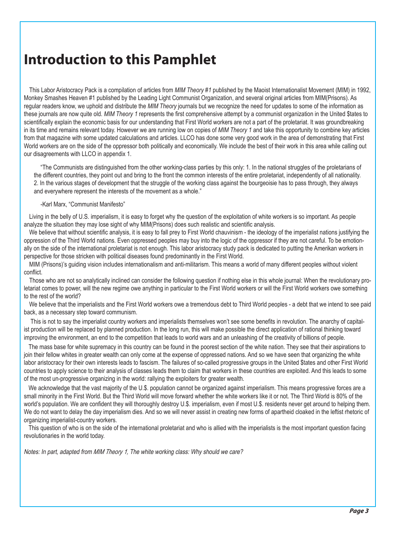# **Introduction to this Pamphlet**

This Labor Aristocracy Pack is a compilation of articles from *MIM Theory #1* published by the Maoist Internationalist Movement (MIM) in 1992, Monkey Smashes Heaven #1 published by the Leading Light Communist Organization, and several original articles from MIM(Prisons). As regular readers know, we uphold and distribute the *MIM Theory* journals but we recognize the need for updates to some of the information as these journals are now quite old. *MIM Theory 1* represents the first comprehensive attempt by a communist organization in the United \$tates to scientifically explain the economic basis for our understanding that First World workers are not a part of the proletariat. It was groundbreaking in its time and remains relevant today. However we are running low on copies of *MIM Theory 1* and take this opportunity to combine key articles from that magazine with some updated calculations and articles. LLCO has done some very good work in the area of demonstrating that First World workers are on the side of the oppressor both politically and economically. We include the best of their work in this area while calling out our disagreements with LLCO in appendix 1.

"The Communists are distinguished from the other working-class parties by this only: 1. In the national struggles of the proletarians of the different countries, they point out and bring to the front the common interests of the entire proletariat, independently of all nationality. 2. In the various stages of development that the struggle of the working class against the bourgeoisie has to pass through, they always and everywhere represent the interests of the movement as a whole."

#### -Karl Marx, "Communist Manifesto"

Living in the belly of U.S. imperialism, it is easy to forget why the question of the exploitation of white workers is so important. As people analyze the situation they may lose sight of why MIM(Prisons) does such realistic and scientific analysis.

We believe that without scientific analysis, it is easy to fall prey to First World chauvinism - the ideology of the imperialist nations justifying the oppression of the Third World nations. Even oppressed peoples may buy into the logic of the oppressor if they are not careful. To be emotionally on the side of the international proletariat is not enough. This labor aristocracy study pack is dedicated to putting the Amerikan workers in perspective for those stricken with political diseases found predominantly in the First World.

MIM (Prisons)'s guiding vision includes internationalism and anti-militarism. This means a world of many different peoples without violent conflict.

Those who are not so analytically inclined can consider the following question if nothing else in this whole journal: When the revolutionary proletariat comes to power, will the new regime owe anything in particular to the First World workers or will the First World workers owe something to the rest of the world?

We believe that the imperialists and the First World workers owe a tremendous debt to Third World peoples - a debt that we intend to see paid back, as a necessary step toward communism.

This is not to say the imperialist country workers and imperialists themselves won't see some benefits in revolution. The anarchy of capitalist production will be replaced by planned production. In the long run, this will make possible the direct application of rational thinking toward improving the environment, an end to the competition that leads to world wars and an unleashing of the creativity of billions of people.

The mass base for white supremacy in this country can be found in the poorest section of the white nation. They see that their aspirations to join their fellow whites in greater wealth can only come at the expense of oppressed nations. And so we have seen that organizing the white labor aristocracy for their own interests leads to fascism. The failures of so-called progressive groups in the United \$tates and other First World countries to apply science to their analysis of classes leads them to claim that workers in these countries are exploited. And this leads to some of the most un-progressive organizing in the world: rallying the exploiters for greater wealth.

We acknowledge that the vast majority of the U.\$. population cannot be organized against imperialism. This means progressive forces are a small minority in the First World. But the Third World will move forward whether the white workers like it or not. The Third World is 80% of the world's population. We are confident they will thoroughly destroy U.\$. imperialism, even if most U.\$. residents never get around to helping them. We do not want to delay the day imperialism dies. And so we will never assist in creating new forms of apartheid cloaked in the leftist rhetoric of organizing imperialist-country workers.

This question of who is on the side of the international proletariat and who is allied with the imperialists is the most important question facing revolutionaries in the world today.

Notes: In part, adapted from *MIM Theory 1,* The white working class: Why should we care?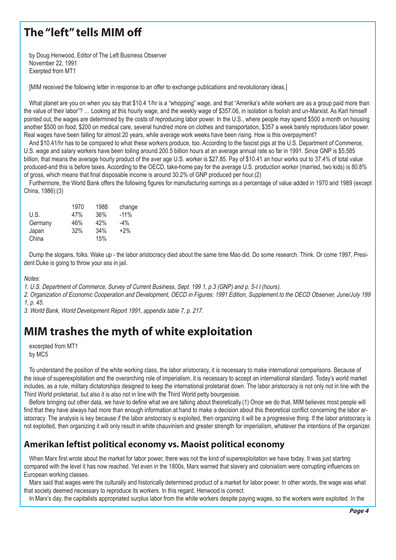# **The "left" tells MIM off**

by Doug Henwood, Editor of The Left Business Observer November 22, 1991 Exerpted from MT1

[MIM received the following letter in response to an offer to exchange publications and revolutionary ideas.]

What planet are you on when you say that \$10.4 1/hr is a "whopping" wage, and that "Amerika's white workers are as a group paid more than the value of their labor"? … Looking at this hourly wage, and the weekly wage of \$357.06, in isolation is foolish and un-Marxist. As Karl himself pointed out, the wages are determined by the costs of reproducing labor power. In the U.S., where people may spend \$500 a month on housing another \$500 on food, \$200 on medical care, several hundred more on clothes and transportation, \$357 a week barely reproduces labor power. Real wages have been falling for almost 20 years, while average work weeks have been rising. How is this overpayment?

And \$10.41/hr has to be compared to what these workers produce, too. According to the fascist pigs at the U.S. Department of Commerce, U.S. wage and salary workers have been toiling around 200.5 billion hours at an average annual rate so far in 1991. Since GNP is \$5,585 billion, that means the average hourly product of the aver age U.S. worker is \$27.85. Pay of \$10.41 an hour works out to 37.4% of total value produced-and this is before taxes. According to the OECD, take-home pay for the average U.S. production worker (married, two kids) is 80.8% of gross, which means that final disposable income is around 30.2% of GNP produced per hour.(2)

Furthermore, the World Bank offers the following figures for manufacturing earnings as a percentage of value added in 1970 and 1989 (except China, 1986):(3)

| 1970 | 1988 | change |
|------|------|--------|
| 47%  | 36%  | $-11%$ |
| 46%  | 42%  | $-4\%$ |
| 32%  | 34%  | $+2\%$ |
|      | 15%  |        |
|      |      |        |

Dump the slogans, folks. Wake up - the labor aristocracy died about the same time Mao did. Do some research. Think. Or come 1997, President Duke is going to throw your ass in jail.

Notes:

1. U.S. Department of Commerce, Survey of Current Business, Sept. 199 1, p.3 (GNP) and p. 5-I I (hours).

2. Organization of Economic Cooperation and Development, OECD in Figures: 1991 Edition, Supplement to the OECD Observer, June/July 199 1, p. 45.

3. World Bank, World Development Report 1991, appendix table 7, p. 217.

# **MIM trashes the myth of white exploitation**

excerpted from MT1 by MC5

To understand the position of the white working class, the labor aristocracy, it is necessary to make international comparisons. Because of the issue of superexploitation and the overarching role of imperialism, it is necessary to accept an international standard. Today's world market includes, as a rule, military dictatorships designed to keep the international proletariat down. The labor aristocracy is not only not in line with the Third World proletariat, but also it is also not in line with the Third World petty bourgeoisie.

Before bringing out other data, we have to define what we are talking about theoretically.(1) Once we do that, MIM believes most people will find that they have always had more than enough information at hand to make a decision about this theoretical conflict concerning the labor aristocracy. The analysis is key because if the labor aristocracy is exploited, then organizing it will be a progressive thing. If the labor aristocracy is not exploited, then organizing it will only result in white chauvinism and greater strength for imperialism, whatever the intentions of the organizer.

### **Amerikan leftist political economy vs. Maoist political economy**

When Marx first wrote about the market for labor power, there was not the kind of superexploitation we have today. It was just starting compared with the level it has now reached. Yet even in the 1800s, Marx warned that slavery and colonialism were corrupting influences on European working classes.

Marx said that wages were the culturally and historically determined product of a market for labor power. In other words, the wage was what that society deemed necessary to reproduce its workers. In this regard, Henwood is correct.

In Marx's day, the capitalists appropriated surplus labor from the white workers despite paying wages, so the workers were exploited. In the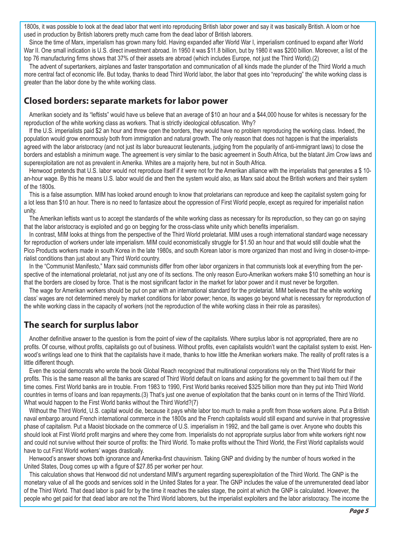1800s, it was possible to look at the dead labor that went into reproducing British labor power and say it was basically British. A loom or hoe used in production by British laborers pretty much came from the dead labor of British laborers.

Since the time of Marx, imperialism has grown many fold. Having expanded after World War I, imperialism continued to expand after World War II. One small indication is U.S. direct investment abroad. In 1950 it was \$11.8 billion, but by 1980 it was \$200 billion. Moreover, a list of the top 76 manufacturing firms shows that 37% of their assets are abroad (which includes Europe, not just the Third World).(2)

The advent of supertankers, airplanes and faster transportation and communication of all kinds made the plunder of the Third World a much more central fact of economic life. But today, thanks to dead Third World labor, the labor that goes into "reproducing" the white working class is greater than the labor done by the white working class.

### **Closed borders: separate markets for labor power**

Amerikan society and its "leftists" would have us believe that an average of \$10 an hour and a \$44,000 house for whites is necessary for the reproduction of the white working class as workers. That is strictly ideological obfuscation. Why?

If the U.S. imperialists paid \$2 an hour and threw open the borders, they would have no problem reproducing the working class. Indeed, the population would grow enormously both from immigration and natural growth. The only reason that does not happen is that the imperialists agreed with the labor aristocracy (and not just its labor bureaucrat lieutenants, judging from the popularity of anti-immigrant laws) to close the borders and establish a minimum wage. The agreement is very similar to the basic agreement in South Africa, but the blatant Jim Crow laws and superexploitation are not as prevalent in Amerika. Whites are a majority here, but not in South Africa.

Henwood pretends that U.S. labor would not reproduce itself if it were not for the Amerikan alliance with the imperialists that generates a \$ 10 an-hour wage. By this he means U.S. labor would die and then the system would also, as Marx said about the British workers and their system of the 1800s.

This is a false assumption. MIM has looked around enough to know that proletarians can reproduce and keep the capitalist system going for a lot less than \$10 an hour. There is no need to fantasize about the oppression of First World people, except as required for imperialist nation unity.

The Amerikan leftists want us to accept the standards of the white working class as necessary for its reproduction, so they can go on saying that the labor aristocracy is exploited and go on begging for the cross-class white unity which benefits imperialism.

In contrast, MIM looks at things from the perspective of the Third World proletariat. MIM uses a rough international standard wage necessary for reproduction of workers under late imperialism. MIM could economistically struggle for \$1.50 an hour and that would still double what the Pico Products workers made in south Korea in the late 1980s, and south Korean labor is more organized than most and living in closer-to-imperialist conditions than just about any Third World country.

In the "Communist Manifesto," Marx said communists differ from other labor organizers in that communists look at everything from the perspective of the international proletariat, not just any one of its sections. The only reason Euro-Amerikan workers make \$10 something an hour is that the borders are closed by force. That is the most significant factor in the market for labor power and it must never be forgotten.

The wage for Amerikan workers should be put on par with an international standard for the proletariat. MIM believes that the white working class' wages are not determined merely by market conditions for labor power; hence, its wages go beyond what is necessary for reproduction of the white working class in the capacity of workers (not the reproduction of the white working class in their role as parasites).

### **The search for surplus labor**

Another definitive answer to the question is from the point of view of the capitalists. Where surplus labor is not appropriated, there are no profits. Of course, without profits, capitalists go out of business. Without profits, even capitalists wouldn't want the capitalist system to exist. Henwood's writings lead one to think that the capitalists have it made, thanks to how little the Amerikan workers make. The reality of profit rates is a little different though.

Even the social democrats who wrote the book Global Reach recognized that multinational corporations rely on the Third World for their profits. This is the same reason all the banks are scared of Third World default on loans and asking for the government to bail them out if the time comes. First World banks are in trouble. From 1983 to 1990, First World banks received \$325 billion more than they put into Third World countries in terms of loans and loan repayments.(3) That's just one avenue of exploitation that the banks count on in terms of the Third World. What would happen to the First World banks without the Third World?(7)

Without the Third World, U.S. capital would die, because it pays white labor too much to make a profit from those workers alone. Put a British naval embargo around French international commerce in the 1800s and the French capitalists would still expand and survive in that progressive phase of capitalism. Put a Maoist blockade on the commerce of U.S. imperialism in 1992, and the ball game is over. Anyone who doubts this should look at First World profit margins and where they come from. Imperialists do not appropriate surplus labor from white workers right now and could not survive without their source of profits: the Third World. To make profits without the Third World, the First World capitalists would have to cut First World workers' wages drastically.

Henwood's answer shows both ignorance and Amerika-first chauvinism. Taking GNP and dividing by the number of hours worked in the United States, Doug comes up with a figure of \$27.85 per worker per hour.

This calculation shows that Henwood did not understand MIM's argument regarding superexploitation of the Third World. The GNP is the monetary value of all the goods and services sold in the United States for a year. The GNP includes the value of the unremunerated dead labor of the Third World. That dead labor is paid for by the time it reaches the sales stage, the point at which the GNP is calculated. However, the people who get paid for that dead labor are not the Third World laborers, but the imperialist exploiters and the labor aristocracy. The income the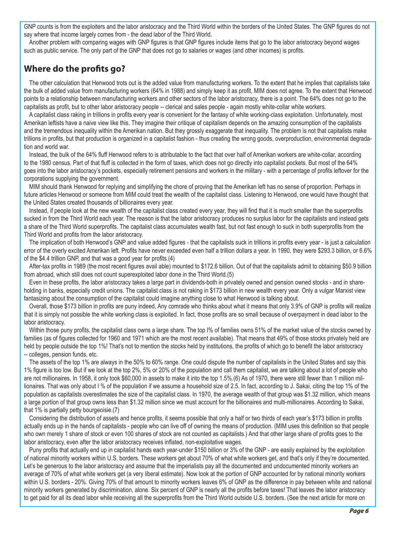GNP counts is from the exploiters and the labor aristocracy and the Third World within the borders of the United States. The GNP figures do not say where that income largely comes from - the dead labor of the Third World.

Another problem with comparing wages with GNP figures is that GNP figures include items that go to the labor aristocracy beyond wages such as public service. The only part of the GNP that does not go to salaries or wages (and other incomes) is profits.

### **Where do the profits go?**

The other calculation that Henwood trots out is the added value from manufacturing workers. To the extent that he implies that capitalists take the bulk of added value from manufacturing workers (64% in 1988) and simply keep it as profit, MIM does not agree. To the extent that Henwood points to a relationship between manufacturing workers and other sectors of the labor aristocracy, there is a point. The 64% does not go to the capitalists as profit, but to other labor aristocracy people -- clerical and sales people - again mostly white-collar white workers.

A capitalist class raking in trillions in profits every year is convenient for the fantasy of white working-class exploitation. Unfortunately, most Amerikan leftists have a naive view like this. They imagine their critique of capitalism depends on the amazing consumption of the capitalists and the tremendous inequality within the Amerikan nation. But they grossly exaggerate that inequality. The problem is not that capitalists make trillions in profits, but that production is organized in a capitalist fashion - thus creating the wrong goods, overproduction, environmental degradation and world war.

Instead, the bulk of the 64% fluff Henwood refers to is attributable to the fact that over half of Amerikan workers are white-collar, according to the 1980 census. Part of that fluff is collected in the form of taxes, which does not go directly into capitalist pockets. But most of the 64% goes into the labor aristocracy's pockets, especially retirement pensions and workers in the military - with a percentage of profits leftover for the corporations supplying the government.

MIM should thank Henwood for replying and simplifying the chore of proving that the Amerikan left has no sense of proportion. Perhaps in future articles Henwood or someone from MIM could treat the wealth of the capitalist class. Listening to Henwood, one would have thought that the United States created thousands of billionaires every year.

Instead, if people look at the new wealth of the capitalist class created every year, they will find that it is much smaller than the superprofits sucked in from the Third World each year. The reason is that the labor aristocracy produces no surplus labor for the capitalists and instead gets a share of the Third World superprofits. The capitalist class accumulates wealth fast, but not fast enough to suck in both superprofits from the Third World and profits from the labor aristocracy.

The implication of both Henwood's GNP and value added figures - that the capitalists suck in trillions in profits every year - is just a calculation error of the overly excited Amerikan left. Profits have never exceeded even half a trillion dollars a year. In 1990, they were \$293.3 billion, or 6.6% of the \$4.4 trillion GNP, and that was a good year for profits.(4)

After-tax profits in 1989 (the most recent figures avail able) mounted to \$172.6 billion. Out of that the capitalists admit to obtaining \$50.9 billion from abroad, which still does not count superexploited labor done in the Third World.(5)

Even in these profits, the labor aristocracy takes a large part in dividends-both in privately owned and pension owned stocks - and in shareholding in banks, especially credit unions. The capitalist class is not raking in \$173 billion in new wealth every year. Only a vulgar Marxist view fantasizing about the consumption of the capitalist could imagine anything close to what Henwood is talking about.

Overall, those \$173 billion in profits are puny indeed, Any comrade who thinks about what it means that only 3.9% of GNP is profits will realize that it is simply not possible the white working class is exploited. In fact, those profits are so small because of overpayment in dead labor to the labor aristocracy.

Within those puny profits, the capitalist class owns a large share. The top I% of families owns 51% of the market value of the stocks owned by families (as of figures collected for 1960 and 1971 which are the most recent available). That means that 49% of those stocks privately held are held by people outside the top 1%! That's not to mention the stocks held by institutions, the profits of which go to benefit the labor aristocracy -- colleges, pension funds, etc.

The assets of the top 1% are always in the 50% to 60% range. One could dispute the number of capitalists in the United States and say this 1% figure is too low. But if we look at the top 2%, 5% or 20% of the population and call them capitalist, we are talking about a lot of people who are not millionaires. In 1958, it only took \$60,000 in assets to make it into the top 1.5%.(6) As of 1970, there were still fewer than 1 million millionaires. That was only about I % of the population if we assume a household size of 2.5. In fact, according to J. Sakai, citing the top 1% of the population as capitalists overestimates the size of the capitalist class. In 1970, the average wealth of that group was \$1.32 million, which means a large portion of that group owns less than \$1.32 million since we must account for the billionaires and multi-millionaires. According to Sakai, that 1% is partially petty bourgeoisie.(7)

Considering the distribution of assets and hence profits, it seems possible that only a half or two thirds of each year's \$173 billion in profits actually ends up in the hands of capitalists - people who can live off of owning the means of production. (MIM uses this definition so that people who own merely 1 share of stock or even 100 shares of stock are not counted as capitalists.) And that other large share of profits goes to the labor aristocracy, even after the labor aristocracy receives inflated, non-exploitative wages.

Puny profits that actually end up in capitalist hands each year-under \$150 billion or 3% of the GNP - are easily explained by the exploitation of national minority workers within U.S. borders. These workers get about 70% of what white workers get, and that's only if they're documented. Let's be generous to the labor aristocracy and assume that the imperialists pay all the documented and undocumented minority workers an average of 70% of what white workers get (a very liberal estimate). Now look at the portion of GNP accounted for by national minority workers within U.S. borders - 20%. Giving 70% of that amount to minority workers leaves 6% of GNP as the difference in pay between white and national minority workers generated by discrimination, alone. Six percent of GNP is nearly all the profits before taxes! That leaves the labor aristocracy to get paid for all its dead labor while receiving all the superprofits from the Third World outside U.S. borders. (See the next article for more on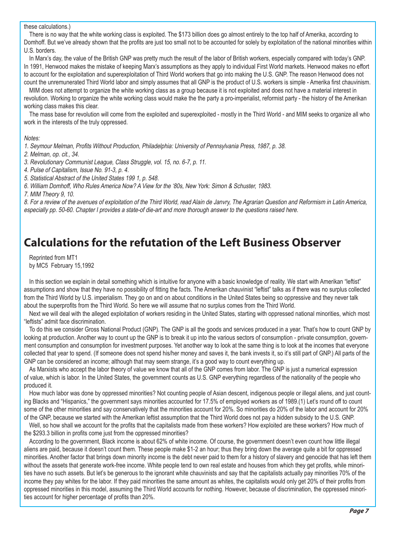#### these calculations.)

There is no way that the white working class is exploited. The \$173 billion does go almost entirely to the top half of Amerika, according to Domhoff. But we've already shown that the profits are just too small not to be accounted for solely by exploitation of the national minorities within U.S. borders.

In Marx's day, the value of the British GNP was pretty much the result of the labor of British workers, especially compared with today's GNP. In 1991, Henwood makes the mistake of keeping Marx's assumptions as they apply to individual First World markets. Henwood makes no effort to account for the exploitation and superexploitation of Third World workers that go into making the U.S. GNP. The reason Henwood does not count the unremunerated Third World labor and simply assumes that all GNP is the product of U.S. workers is simple - Amerika first chauvinism.

MIM does not attempt to organize the white working class as a group because it is not exploited and does not have a material interest in revolution. Working to organize the white working class would make the the party a pro-imperialist, reformist party - the history of the Amerikan working class makes this clear.

The mass base for revolution will come from the exploited and superexploited - mostly in the Third World - and MIM seeks to organize all who work in the interests of the truly oppressed.

#### Notes:

1. Seymour Melman, Profits Without Production, Philadelphia: University of Pennsylvania Press, 1987, p. 38.

2. Melman, op. cit., 34.

3. Revolutionary Communist League, Class Struggle, vol. 15, no. 6-7, p. 11.

4. Pulse of Capitalism, Issue No. 91-3, p. 4.

5. Statistical Abstract of the United States 199 1, p. 548.

6. William Domhoff, Who Rules America Now? A View for the '80s, New York: Simon & Schuster, 1983.

7. MIM Theory 9, 10.

8. For a review of the avenues of exploitation of the Third World, read Alain de Janvry, The Agrarian Question and Reformism in Latin America, especially pp. 50-60. Chapter I provides a state-of die-art and more thorough answer to the questions raised here.

### **Calculations for the refutation of the Left Business Observer**

Reprinted from MT1 by MC5 February 15,1992

In this section we explain in detail something which is intuitive for anyone with a basic knowledge of reality. We start with Amerikan "leftist" assumptions and show that they have no possibility of fitting the facts. The Amerikan chauvinist "leftist" talks as if there was no surplus collected from the Third World by U.S. imperialism. They go on and on about conditions in the United States being so oppressive and they never talk about the superprofits from the Third World. So here we will assume that no surplus comes from the Third World.

Next we will deal with the alleged exploitation of workers residing in the United States, starting with oppressed national minorities, which most "leftists" admit face discrimination.

To do this we consider Gross National Product (GNP). The GNP is all the goods and services produced in a year. That's how to count GNP by looking at production. Another way to count up the GNP is to break it up into the various sectors of consumption - private consumption, government consumption and consumption for investment purposes. Yet another way to look at the same thing is to look at the incomes that everyone collected that year to spend. (If someone does not spend his/her money and saves it, the bank invests it, so it's still part of GNP.) All parts of the GNP can be considered an income; although that may seem strange, it's a good way to count everything up.

As Marxists who accept the labor theory of value we know that all of the GNP comes from labor. The GNP is just a numerical expression of value, which is labor. In the United States, the government counts as U.S. GNP everything regardless of the nationality of the people who produced it.

How much labor was done by oppressed minorities? Not counting people of Asian descent, indigenous people or illegal aliens, and just counting Blacks and "Hispanics," the government says minorities accounted for 17.5% of employed workers as of 1989.(1) Let's round off to count some of the other minorities and say conservatively that the minorities account for 20%. So minorities do 20% of the labor and account for 20% of the GNP, because we started with the Amerikan leftist assumption that the Third World does not pay a hidden subsidy to the U.S. GNP.

Well, so how shall we account for the profits that the capitalists made from these workers? How exploited are these workers? How much of the \$293.3 billion in profits come just from the oppressed minorities?

According to the government, Black income is about 62% of white income. Of course, the government doesn't even count how little illegal aliens are paid, because it doesn't count them. These people make \$1-2 an hour; thus they bring down the average quite a bit for oppressed minorities. Another factor that brings down minority income is the debt never paid to them for a history of slavery and genocide that has left them without the assets that generate work-free income. White people tend to own real estate and houses from which they get profits, while minorities have no such assets. But let's be generous to the ignorant white chauvinists and say that the capitalists actually pay minorities 70% of the income they pay whites for the labor. If they paid minorities the same amount as whites, the capitalists would only get 20% of their profits from oppressed minorities in this model, assuming the Third World accounts for nothing. However, because of discrimination, the oppressed minorities account for higher percentage of profits than 20%.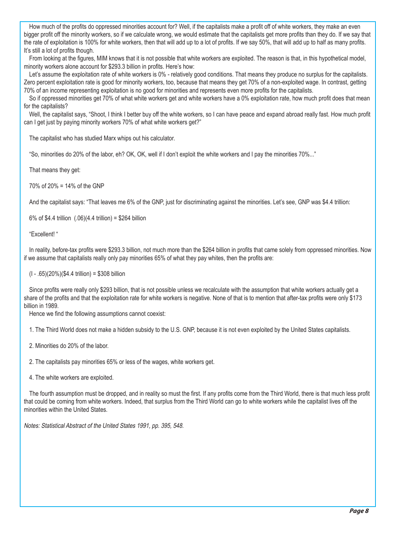How much of the profits do oppressed minorities account for? Well, if the capitalists make a profit off of white workers, they make an even bigger profit off the minority workers, so if we calculate wrong, we would estimate that the capitalists get more profits than they do. If we say that the rate of exploitation is 100% for white workers, then that will add up to a lot of profits. If we say 50%, that will add up to half as many profits. It's still a lot of profits though.

From looking at the figures, MIM knows that it is not possible that white workers are exploited. The reason is that, in this hypothetical model, minority workers alone account for \$293.3 billion in profits. Here's how:

Let's assume the exploitation rate of white workers is 0% - relatively good conditions. That means they produce no surplus for the capitalists. Zero percent exploitation rate is good for minority workers, too, because that means they get 70% of a non-exploited wage. In contrast, getting 70% of an income representing exploitation is no good for minorities and represents even more profits for the capitalists.

So if oppressed minorities get 70% of what white workers get and white workers have a 0% exploitation rate, how much profit does that mean for the capitalists?

Well, the capitalist says, "Shoot, I think I better buy off the white workers, so I can have peace and expand abroad really fast. How much profit can I get just by paying minority workers 70% of what white workers get?"

The capitalist who has studied Marx whips out his calculator.

"So, minorities do 20% of the labor, eh? OK, OK, well if I don't exploit the white workers and I pay the minorities 70%..."

That means they get:

70% of 20% = 14% of the GNP

And the capitalist says: "That leaves me 6% of the GNP, just for discriminating against the minorities. Let's see, GNP was \$4.4 trillion:

6% of \$4.4 trillion (.06)(4.4 trillion) = \$264 billion

"Excellent! "

In reality, before-tax profits were \$293.3 billion, not much more than the \$264 billion in profits that came solely from oppressed minorities. Now if we assume that capitalists really only pay minorities 65% of what they pay whites, then the profits are:

(I - .65)(20%)(\$4.4 trillion) = \$308 billion

Since profits were really only \$293 billion, that is not possible unless we recalculate with the assumption that white workers actually get a share of the profits and that the exploitation rate for white workers is negative. None of that is to mention that after-tax profits were only \$173 billion in 1989.

Hence we find the following assumptions cannot coexist:

1. The Third World does not make a hidden subsidy to the U.S. GNP, because it is not even exploited by the United States capitalists.

2. Minorities do 20% of the labor.

2. The capitalists pay minorities 65% or less of the wages, white workers get.

4. The white workers are exploited.

The fourth assumption must be dropped, and in reality so must the first. If any profits come from the Third World, there is that much less profit that could be coming from white workers. Indeed, that surplus from the Third World can go to white workers while the capitalist lives off the minorities within the United States.

Notes: Statistical Abstract of the United States 1991, pp. 395, 548.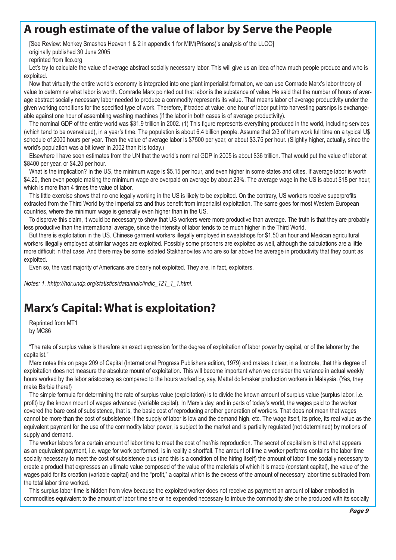### **A rough estimate of the value of labor by Serve the People**

[See Review: Monkey Smashes Heaven 1 & 2 in appendix 1 for MIM(Prisons)'s analysis of the LLCO] originally published 30 June 2005

reprinted from llco.org

Let's try to calculate the value of average abstract socially necessary labor. This will give us an idea of how much people produce and who is exploited.

Now that virtually the entire world's economy is integrated into one giant imperialist formation, we can use Comrade Marx's labor theory of value to determine what labor is worth. Comrade Marx pointed out that labor is the substance of value. He said that the number of hours of average abstract socially necessary labor needed to produce a commodity represents its value. That means labor of average productivity under the given working conditions for the specified type of work. Therefore, if traded at value, one hour of labor put into harvesting parsnips is exchangeable against one hour of assembling washing machines (if the labor in both cases is of average productivity).

The nominal GDP of the entire world was \$31.9 trillion in 2002. (1) This figure represents everything produced in the world, including services (which tend to be overvalued), in a year's time. The population is about 6.4 billion people. Assume that 2/3 of them work full time on a typical U\$ schedule of 2000 hours per year. Then the value of average labor is \$7500 per year, or about \$3.75 per hour. (Slightly higher, actually, since the world's population was a bit lower in 2002 than it is today.)

Elsewhere I have seen estimates from the UN that the world's nominal GDP in 2005 is about \$36 trillion. That would put the value of labor at \$8400 per year, or \$4.20 per hour.

What is the implication? In the US, the minimum wage is \$5.15 per hour, and even higher in some states and cities. If average labor is worth \$4.20, then even people making the minimum wage are overpaid on average by about 23%. The average wage in the US is about \$18 per hour, which is more than 4 times the value of labor.

This little exercise shows that no one legally working in the US is likely to be exploited. On the contrary, US workers receive superprofits extracted from the Third World by the imperialists and thus benefit from imperialist exploitation. The same goes for most Western European countries, where the minimum wage is generally even higher than in the US.

To disprove this claim, it would be necessary to show that US workers were more productive than average. The truth is that they are probably less productive than the international average, since the intensity of labor tends to be much higher in the Third World.

But there is exploitation in the US. Chinese garment workers illegally employed in sweatshops for \$1.50 an hour and Mexican agricultural workers illegally employed at similar wages are exploited. Possibly some prisoners are exploited as well, although the calculations are a little more difficult in that case. And there may be some isolated Stakhanovites who are so far above the average in productivity that they count as exploited.

Even so, the vast majority of Americans are clearly not exploited. They are, in fact, exploiters.

Notes: 1. hhttp://hdr.undp.org/statistics/data/indic/indic\_121\_1\_1.html.

# **Marx's Capital: What is exploitation?**

Reprinted from MT1 by MC86

"The rate of surplus value is therefore an exact expression for the degree of exploitation of labor power by capital, or of the laborer by the capitalist."

Marx notes this on page 209 of Capital (International Progress Publishers edition, 1979) and makes it clear, in a footnote, that this degree of exploitation does not measure the absolute mount of exploitation. This will become important when we consider the variance in actual weekly hours worked by the labor aristocracy as compared to the hours worked by, say, Mattel doll-maker production workers in Malaysia. (Yes, they make Barbie there!)

The simple formula for determining the rate of surplus value (exploitation) is to divide the known amount of surplus value (surplus labor, i.e. profit) by the known mount of wages advanced (variable capital). In Marx's day, and in parts of today's world, the wages paid to the worker covered the bare cost of subsistence, that is, the basic cost of reproducing another generation of workers. That does not mean that wages cannot be more than the cost of subsistence if the supply of labor is low and the demand high, etc. The wage itself, its price, its real value as the equivalent payment for the use of the commodity labor power, is subject to the market and is partially regulated (not determined) by motions of supply and demand.

The worker labors for a certain amount of labor time to meet the cost of her/his reproduction. The secret of capitalism is that what appears as an equivalent payment, i.e. wage for work performed, is in reality a shortfall. The amount of time a worker performs contains the labor time socially necessary to meet the cost of subsistence plus (and this is a condition of the hiring itself) the amount of labor time socially necessary to create a product that expresses an ultimate value composed of the value of the materials of which it is made (constant capital), the value of the wages paid for its creation (variable capital) and the "profit," a capital which is the excess of the amount of necessary labor time subtracted from the total labor time worked.

This surplus labor time is hidden from view because the exploited worker does not receive as payment an amount of labor embodied in commodities equivalent to the amount of labor time she or he expended necessary to imbue the commodity she or he produced with its socially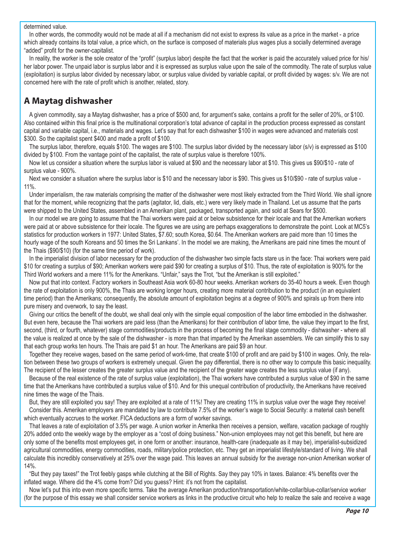#### determined value.

In other words, the commodity would not be made at all if a mechanism did not exist to express its value as a price in the market - a price which already contains its total value, a price which, on the surface is composed of materials plus wages plus a socially determined average "added" profit for the owner-capitalist.

In reality, the worker is the sole creator of the "profit" (surplus labor) despite the fact that the worker is paid the accurately valued price for his/ her labor power. The unpaid labor is surplus labor and it is expressed as surplus value upon the sale of the commodity. The rate of surplus value (exploitation) is surplus labor divided by necessary labor, or surplus value divided by variable capital, or profit divided by wages: s/v. We are not concerned here with the rate of profit which is another, related, story.

### **A Maytag dishwasher**

A given commodity, say a Maytag dishwasher, has a price of \$500 and, for argument's sake, contains a profit for the seller of 20%, or \$100. Also contained within this final price is the multinational corporation's total advance of capital in the production process expressed as constant capital and variable capital, i.e., materials and wages. Let's say that for each dishwasher \$100 in wages were advanced and materials cost \$300. So the capitalist spent \$400 and made a profit of \$100.

The surplus labor, therefore, equals \$100. The wages are \$100. The surplus labor divided by the necessary labor (s/v) is expressed as \$100 divided by \$100. From the vantage point of the capitalist, the rate of surplus value is therefore 100%.

Now let us consider a situation where the surplus labor is valued at \$90 and the necessary labor at \$10. This gives us \$90/\$10 - rate of surplus value - 900%.

Next we consider a situation where the surplus labor is \$10 and the necessary labor is \$90. This gives us \$10/\$90 - rate of surplus value - 11%.

Under imperialism, the raw materials comprising the matter of the dishwasher were most likely extracted from the Third World. We shall ignore that for the moment, while recognizing that the parts (agitator, lid, dials, etc.) were very likely made in Thailand. Let us assume that the parts were shipped to the United States, assembled in an Amerikan plant, packaged, transported again, and sold at Sears for \$500.

In our model we are going to assume that the Thai workers were paid at or below subsistence for their locale and that the Amerikan workers were paid at or above subsistence for their locale. The figures we are using are perhaps exaggerations to demonstrate the point. Look at MC5's statistics for production workers in 1977: United States, \$7.60; south Korea, \$0.64. The Amerikan workers are paid more than 10 times the hourly wage of the south Koreans and 50 times the Sri Lankans'. In the model we are making, the Amerikans are paid nine times the mount of the Thais (\$90/\$10) (for the same time period of work).

In the imperialist division of labor necessary for the production of the dishwasher two simple facts stare us in the face: Thai workers were paid \$10 for creating a surplus of \$90; Amerikan workers were paid \$90 for creating a surplus of \$10. Thus, the rate of exploitation is 900% for the Third World workers and a mere 11% for the Amerikans. "Unfair," says the Trot, "but the Amerikan is still exploited."

Now put that into context. Factory workers in Southeast Asia work 60-80 hour weeks. Amerikan workers do 35-40 hours a week. Even though the rate of exploitation is only 900%, the Thais are working longer hours, creating more material contribution to the product (in an equivalent time period) than the Amerikans; consequently, the absolute amount of exploitation begins at a degree of 900% and spirals up from there into pure misery and overwork, to say the least.

Giving our critics the benefit of the doubt, we shall deal only with the simple equal composition of the labor time embodied in the dishwasher. But even here, because the Thai workers are paid less (than the Amerikans) for their contribution of labor time, the value they impart to the first, second, (third, or fourth, whatever) stage commodities/products in the process of becoming the final stage commodity - dishwasher - where all the value is realized at once by the sale of the dishwasher - is more than that imparted by the Amerikan assemblers. We can simplify this to say that each group works ten hours. The Thais are paid \$1 an hour. The Amerikans are paid \$9 an hour.

Together they receive wages, based on the same period of work-time, that create \$100 of profit and are paid by \$100 in wages. Only, the relation between these two groups of workers is extremely unequal. Given the pay differential, there is no other way to compute this basic inequality. The recipient of the lesser creates the greater surplus value and the recipient of the greater wage creates the less surplus value (if any).

Because of the real existence of the rate of surplus value (exploitation), the Thai workers have contributed a surplus value of \$90 in the same time that the Amerikans have contributed a surplus value of \$10. And for this unequal contribution of productivity, the Amerikans have received nine times the wage of the Thais.

But, they are still exploited you say! They are exploited at a rate of 11%! They are creating 11% in surplus value over the wage they receive! Consider this. Amerikan employers are mandated by law to contribute 7.5% of the worker's wage to Social Security: a material cash benefit which eventually accrues to the worker. FICA deductions are a form of worker savings.

That leaves a rate of exploitation of 3.5% per wage. A union worker in Amerika then receives a pension, welfare, vacation package of roughly 20% added onto the weekly wage by the employer as a "cost of doing business." Non-union employees may not get this benefit, but here are only some of the benefits most employees get, in one form or another: insurance, health-care (inadequate as it may be), imperialist-subsidized agricultural commodities, energy commodities, roads, military/police protection, etc. They get an imperialist lifestyle/standard of living. We shall calculate this incredibly conservatively at 25% over the wage paid. This leaves an annual subsidy for the average non-union Amerikan worker of 14%.

"But they pay taxes!" the Trot feebly gasps while clutching at the Bill of Rights. Say they pay 10% in taxes. Balance: 4% benefits over the inflated wage. Where did the 4% come from? Did you guess? Hint: it's not from the capitalist.

Now let's put this into even more specific terms. Take the average Amerikan production/transportation/white-collar/blue-collar/service worker (for the purpose of this essay we shall consider service workers as links in the productive circuit who help to realize the sale and receive a wage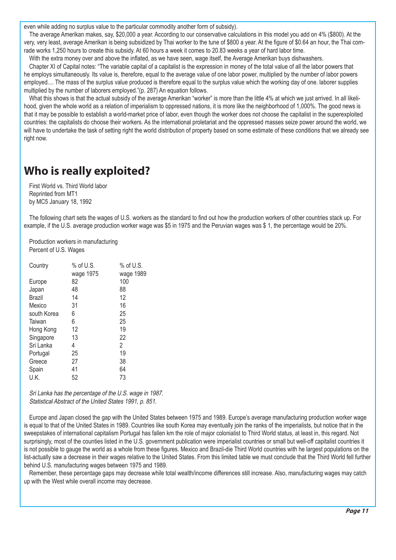even while adding no surplus value to the particular commodity another form of subsidy).

The average Amerikan makes, say, \$20,000 a year. According to our conservative calculations in this model you add on 4% (\$800). At the very, very least, average Amerikan is being subsidized by Thai worker to the tune of \$800 a year. At the figure of \$0.64 an hour, the Thai comrade works 1,250 hours to create this subsidy. At 60 hours a week it comes to 20.83 weeks a year of hard labor time.

With the extra money over and above the inflated, as we have seen, wage itself, the Average Amerikan buys dishwashers.

Chapter XI of Capital notes: "The variable capital of a capitalist is the expression in money of the total value of all the labor powers that he employs simultaneously. Its value is, therefore, equal to the average value of one labor power, multiplied by the number of labor powers employed.... The mass of the surplus value produced is therefore equal to the surplus value which the working day of one. laborer supplies multiplied by the number of laborers employed."(p. 287) An equation follows.

What this shows is that the actual subsidy of the average Amerikan "worker" is more than the little 4% at which we just arrived. In all likelihood, given the whole world as a relation of imperialism to oppressed nations, it is more like the neighborhood of 1,000%. The good news is that it may be possible to establish a world-market price of labor, even though the worker does not choose the capitalist in the superexploited countries: the capitalists do choose their workers. As the international proletariat and the oppressed masses seize power around the world, we will have to undertake the task of setting right the world distribution of property based on some estimate of these conditions that we already see right now.

# **Who is really exploited?**

First World vs. Third World labor Reprinted from MT1 by MC5 January 18, 1992

The following chart sets the wages of U.S. workers as the standard to find out how the production workers of other countries stack up. For example, if the U.S. average production worker wage was \$5 in 1975 and the Peruvian wages was \$ 1, the percentage would be 20%.

Production workers in manufacturing Percent of U.S. Wages

| Country     | $%$ of U.S. | $%$ of U.S. |
|-------------|-------------|-------------|
|             | wage 1975   | wage 1989   |
| Europe      | 82          | 100         |
| Japan       | 48          | 88          |
| Brazil      | 14          | 12          |
| Mexico      | 31          | 16          |
| south Korea | 6           | 25          |
| Taiwan      | 6           | 25          |
| Hong Kong   | 12          | 19          |
| Singapore   | 13          | 22          |
| Sri Lanka   | 4           | 2           |
| Portugal    | 25          | 19          |
| Greece      | 27          | 38          |
| Spain       | 41          | 64          |
| U.K.        | 52          | 73          |

Sri Lanka has the percentage of the U.S. wage in 1987. Statistical Abstract of the United States 1991, p. 851.

Europe and Japan closed the gap with the United States between 1975 and 1989. Europe's average manufacturing production worker wage is equal to that of the United States in 1989. Countries like south Korea may eventually join the ranks of the imperialists, but notice that in the sweepstakes of international capitalism Portugal has fallen km the role of major colonialist to Third World status, at least in, this regard. Not surprisingly, most of the counties listed in the U.S. government publication were imperialist countries or small but well-off capitalist countries it is not possible to gauge the world as a whole from these figures. Mexico and Brazil-die Third World countries with he largest populations on the list-actually saw a decrease in their wages relative to the United States. From this limited table we must conclude that the Third World fell further behind U.S. manufacturing wages between 1975 and 1989.

Remember, these percentage gaps may decrease while total wealth/income differences still increase. Also, manufacturing wages may catch up with the West while overall income may decrease.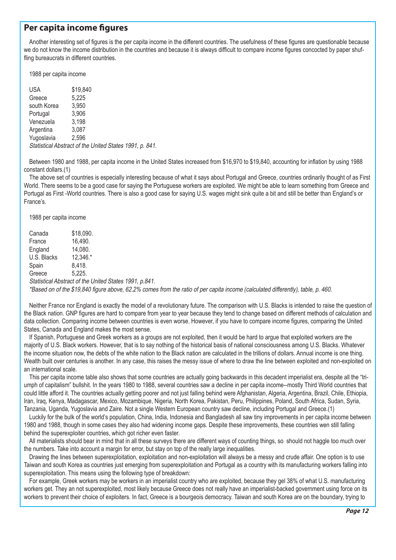### **Per capita income figures**

Another interesting set of figures is the per capita income in the different countries. The usefulness of these figures are questionable because we do not know the income distribution in the countries and because it is always difficult to compare income figures concocted by paper shuffling bureaucrats in different countries.

1988 per capita income

USA \$19,840 Greece 5,225 south Korea 3,950 Portugal 3,906 Venezuela 3,198 Argentina 3,087 Yugoslavia 2,596 Statistical Abstract of the United States 1991, p. 841.

Between 1980 and 1988, per capita income in the United States increased from \$16,970 to \$19,840, accounting for inflation by using 1988 constant dollars.(1)

The above set of countries is especially interesting because of what it says about Portugal and Greece, countries ordinarily thought of as First World. There seems to be a good case for saying the Portuguese workers are exploited. We might be able to learn something from Greece and Portugal as First -World countries. There is also a good case for saying U.S. wages might sink quite a bit and still be better than England's or France's.

1988 per capita income

| Canada                                                                                                                           | \$18,090.  |  |  |
|----------------------------------------------------------------------------------------------------------------------------------|------------|--|--|
| France                                                                                                                           | 16.490.    |  |  |
| England                                                                                                                          | 14.080.    |  |  |
| U.S. Blacks                                                                                                                      | $12.346.*$ |  |  |
| Spain                                                                                                                            | 8.418.     |  |  |
| Greece                                                                                                                           | 5.225.     |  |  |
| Statistical Abstract of the United States 1991, p.841.                                                                           |            |  |  |
| *Based on of the \$19,840 figure above, 62.2% comes from the ratio of per capita income (calculated differently), table, p. 460. |            |  |  |

Neither France nor England is exactly the model of a revolutionary future. The comparison with U.S. Blacks is intended to raise the question of the Black nation. GNP figures are hard to compare from year to year because they tend to change based on different methods of calculation and data collection. Comparing income between countries is even worse. However, if you have to compare income figures, comparing the United States, Canada and England makes the most sense.

If Spanish, Portuguese and Greek workers as a groups are not exploited, then it would be hard to argue that exploited workers are the majority of U.S. Black workers. However, that is to say nothing of the historical basis of national consciousness among U.S. Blacks. Whatever the income situation now, the debts of the white nation to the Black nation are calculated in the trillions of dollars. Annual income is one thing. Wealth built over centuries is another. In any case, this raises the messy issue of where to draw the line between exploited and non-exploited on an international scale.

This per capita income table also shows that some countries are actually going backwards in this decadent imperialist era, despite all the "triumph of capitalism" bullshit. In the years 1980 to 1988, several countries saw a decline in per capita income--mostly Third World countries that could little afford it. The countries actually getting poorer and not just falling behind were Afghanistan, Algeria, Argentina, Brazil, Chile, Ethiopia, Iran, Iraq, Kenya, Madagascar, Mexico, Mozambique, Nigeria, North Korea, Pakistan, Peru, Philippines, Poland, South Africa, Sudan, Syria, Tanzania, Uganda, Yugoslavia and Zaire. Not a single Western European country saw decline, including Portugal and Greece.(1)

Luckily for the bulk of the world's population, China, India, Indonesia and Bangladesh all saw tiny improvements in per capita income between 1980 and 1988, though in some cases they also had widening income gaps. Despite these improvements, these countries wen still falling behind the superexploiter countries, which got richer even faster.

All materialists should bear in mind that in all these surveys there are different ways of counting things, so should not haggle too much over the numbers. Take into account a margin for error, but stay on top of the really large inequalities.

Drawing the lines between superexploitation, exploitation and non-exploitation will always be a messy and crude affair. One option is to use Taiwan and south Korea as countries just emerging from superexploitation and Portugal as a country with its manufacturing workers falling into superexploitation. This means using the following type of breakdown:

For example, Greek workers may be workers in an imperialist country who are exploited, because they gel 38% of what U.S. manufacturing workers get. They an not superexploited, most likely because Greece does not really have an imperialist-backed government using force on its workers to prevent their choice of exploiters. In fact, Greece is a bourgeois democracy. Taiwan and south Korea are on the boundary, trying to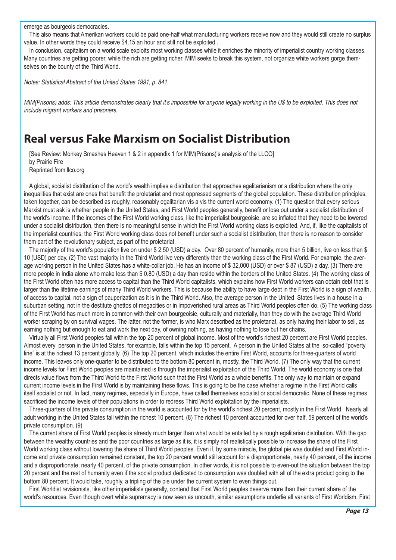emerge as bourgeois democracies.

This also means that Amerikan workers could be paid one-half what manufacturing workers receive now and they would still create no surplus value. In other words they could receive \$4.15 an hour and still not be exploited .

In conclusion, capitalism on a world scale exploits most working classes while it enriches the minority of imperialist country working classes. Many countries are getting poorer, while the rich are getting richer. MIM seeks to break this system, not organize white workers gorge themselves on the bounty of the Third World.

Notes: Statistical Abstract of the United States 1991, p. 841.

MIM(Prisons) adds: This article demonstrates clearly that it's impossible for anyone legally working in the U\$ to be exploited. This does not include migrant workers and prisoners.

### **Real versus Fake Marxism on Socialist Distribution**

[See Review: Monkey Smashes Heaven 1 & 2 in appendix 1 for MIM(Prisons)'s analysis of the LLCO] by Prairie Fire Reprinted from llco.org

A global, socialist distribution of the world's wealth implies a distribution that approaches egalitarianism or a distribution where the only inequalities that exist are ones that benefit the proletariat and most oppressed segments of the global population. These distribution principles, taken together, can be described as roughly, reasonably egalitarian vis a vis the current world economy. (1) The question that every serious Marxist must ask is whether people in the United States, and First World peoples generally, benefit or lose out under a socialist distribution of the world's income. If the incomes of the First World working class, like the imperialist bourgeoisie, are so inflated that they need to be lowered under a socialist distribution, then there is no meaningful sense in which the First World working class is exploited. And, if, like the capitalists of the imperialist countries, the First World working class does not benefit under such a socialist distribution, then there is no reason to consider them part of the revolutionary subject, as part of the proletariat.

The majority of the world's population live on under \$ 2.50 (USD) a day. Over 80 percent of humanity, more than 5 billion, live on less than \$ 10 (USD) per day. (2) The vast majority in the Third World live very differently than the working class of the First World. For example, the average working person in the United States has a white-collar job. He has an income of \$ 32,000 (USD) or over \$ 87 (USD) a day. (3) There are more people in India alone who make less than \$ 0.80 (USD) a day than reside within the borders of the United States. (4) The working class of the First World often has more access to capital than the Third World capitalists, which explains how First World workers can obtain debt that is larger than the lifetime earnings of many Third World workers. This is because the ability to have large debt in the First World is a sign of wealth, of access to capital, not a sign of pauperization as it is in the Third World. Also, the average person in the United States lives in a house in a suburban setting, not in the destitute ghettos of megacities or in impoverished rural areas as Third World peoples often do. (5) The working class of the First World has much more in common with their own bourgeoisie, culturally and materially, than they do with the average Third World worker scraping by on survival wages. The latter, not the former, is who Marx described as the proletariat, as only having their labor to sell, as earning nothing but enough to eat and work the next day, of owning nothing, as having nothing to lose but her chains.

Virtually all First World peoples fall within the top 20 percent of global income. Most of the world's richest 20 percent are First World peoples. Almost every person in the United States, for example, falls within the top 15 percent. A person in the United States at the so-called "poverty line" is at the richest 13 percent globally. (6) The top 20 percent, which includes the entire First World, accounts for three-guarters of world income. This leaves only one-quarter to be distributed to the bottom 80 percent in, mostly, the Third World. (7) The only way that the current income levels for First World peoples are maintained is through the imperialist exploitation of the Third World. The world economy is one that directs value flows from the Third World to the First World such that the First World as a whole benefits. The only way to maintain or expand current income levels in the First World is by maintaining these flows. This is going to be the case whether a regime in the First World calls itself socialist or not. In fact, many regimes, especially in Europe, have called themselves socialist or social democratic. None of these regimes sacrificed the income levels of their populations in order to redress Third World exploitation by the imperialists.

Three-quarters of the private consumption in the world is accounted for by the world's richest 20 percent, mostly in the First World. Nearly all adult working in the United States fall within the richest 10 percent. (8) The richest 10 percent accounted for over half, 59 percent of the world's private consumption. (9)

The current share of First World peoples is already much larger than what would be entailed by a rough egalitarian distribution. With the gap between the wealthy countries and the poor countries as large as it is, it is simply not realistically possible to increase the share of the First World working class without lowering the share of Third World peoples. Even if, by some miracle, the global pie was doubled and First World income and private consumption remained constant, the top 20 percent would still account for a disproportionate, nearly 40 percent, of the income and a disproportionate, nearly 40 percent, of the private consumption. In other words, it is not possible to even-out the situation between the top 20 percent and the rest of humanity even if the social product dedicated to consumption was doubled with all of the extra product going to the bottom 80 percent. It would take, roughly, a tripling of the pie under the current system to even things out.

First Worldist revisionists, like other imperialists generally, contend that First World peoples deserve more than their current share of the world's resources. Even though overt white supremacy is now seen as uncouth, similar assumptions underlie all variants of First Worldism. First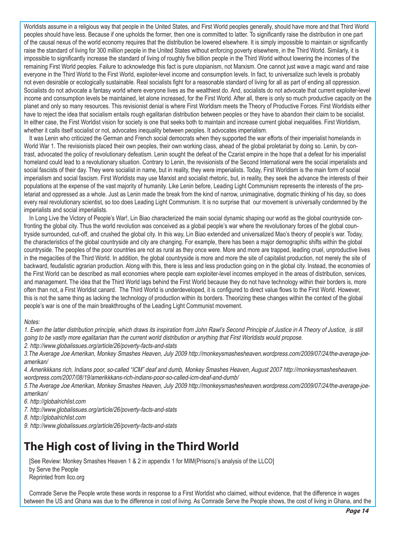Worldists assume in a religious way that people in the United States, and First World peoples generally, should have more and that Third World peoples should have less. Because if one upholds the former, then one is committed to latter. To significantly raise the distribution in one part of the causal nexus of the world economy requires that the distribution be lowered elsewhere. It is simply impossible to maintain or significantly raise the standard of living for 300 million people in the United States without enforcing poverty elsewhere, in the Third World. Similarly, it is impossible to significantly increase the standard of living of roughly five billion people in the Third World without lowering the incomes of the remaining First World peoples. Failure to acknowledge this fact is pure utopianism, not Marxism. One cannot just wave a magic wand and raise everyone in the Third World to the First World, exploiter-level income and consumption levels. In fact, to universalize such levels is probably not even desirable or ecologically sustainable. Real socialists fight for a reasonable standard of living for all as part of ending all oppression. Socialists do not advocate a fantasy world where everyone lives as the wealthiest do. And, socialists do not advocate that current exploiter-level income and consumption levels be maintained, let alone increased, for the First World. After all, there is only so much productive capacity on the planet and only so many resources. This revisionist denial is where First Worldism meets the Theory of Productive Forces. First Worldists either have to reject the idea that socialism entails rough egalitarian distribution between peoples or they have to abandon their claim to be socialist. In either case, the First Worldist vision for society is one that seeks both to maintain and increase current global inequalities. First Worldism, whether it calls itself socialist or not, advocates inequality between peoples. It advocates imperialism.

It was Lenin who criticized the German and French social democrats when they supported the war efforts of their imperialist homelands in World War 1. The revisionists placed their own peoples, their own working class, ahead of the global proletariat by doing so. Lenin, by contrast, advocated the policy of revolutionary defeatism. Lenin sought the defeat of the Czarist empire in the hope that a defeat for his imperialist homeland could lead to a revolutionary situation. Contrary to Lenin, the revisionists of the Second International were the social imperialists and social fascists of their day. They were socialist in name, but in reality, they were imperialists. Today, First Worldism is the main form of social imperialism and social fascism. First Worldists may use Marxist and socialist rhetoric, but, in reality, they seek the advance the interests of their populations at the expense of the vast majority of humanity. Like Lenin before, Leading Light Communism represents the interests of the proletariat and oppressed as a whole. Just as Lenin made the break from the kind of narrow, unimaginative, dogmatic thinking of his day, so does every real revolutionary scientist, so too does Leading Light Communism. It is no surprise that our movement is universally condemned by the imperialists and social imperialists.

In Long Live the Victory of People's War!, Lin Biao characterized the main social dynamic shaping our world as the global countryside confronting the global city. Thus the world revolution was conceived as a global people's war where the revolutionary forces of the global countryside surrounded, cut-off, and crushed the global city. In this way, Lin Biao extended and universalized Mao's theory of people's war. Today, the characteristics of the global countryside and city are changing. For example, there has been a major demographic shifts within the global countryside. The peoples of the poor countries are not as rural as they once were. More and more are trapped, leading cruel, unproductive lives in the megacities of the Third World. In addition, the global countryside is more and more the site of capitalist production, not merely the site of backward, feudalistic agrarian production. Along with this, there is less and less production going on in the global city. Instead, the economies of the First World can be described as mall economies where people earn exploiter-level incomes employed in the areas of distribution, services, and management. The idea that the Third World lags behind the First World because they do not have technology within their borders is, more often than not, a First Worldist canard. The Third World is underdeveloped, it is configured to direct value flows to the First World. However, this is not the same thing as lacking the technology of production within its borders. Theorizing these changes within the context of the global people's war is one of the main breakthroughs of the Leading Light Communist movement.

#### Notes:

1. Even the latter distribution principle, which draws its inspiration from John Rawl's Second Principle of Justice in A Theory of Justice, is still going to be vastly more egalitarian than the current world distribution or anything that First Worldists would propose.

2. http://www.globalissues.org/article/26/poverty-facts-and-stats

3.The Average Joe Amerikan, Monkey Smashes Heaven, July 2009 http://monkeysmashesheaven.wordpress.com/2009/07/24/the-average-joeamerikan/

4. Amerikkkans rich, Indians poor, so-called "ICM" deaf and dumb, Monkey Smashes Heaven, August 2007 http://monkeysmashesheaven. wordpress.com/2007/08/19/amerikkkans-rich-indians-poor-so-called-icm-deaf-and-dumb/

5.The Average Joe Amerikan, Monkey Smashes Heaven, July 2009 http://monkeysmashesheaven.wordpress.com/2009/07/24/the-average-joeamerikan/

6. http://globalrichlist.com

7. http://www.globalissues.org/article/26/poverty-facts-and-stats

8. http://globalrichlist.com

9. http://www.globalissues.org/article/26/poverty-facts-and-stats

# **The High cost of living in the Third World**

[See Review: Monkey Smashes Heaven 1 & 2 in appendix 1 for MIM(Prisons)'s analysis of the LLCO] by Serve the People Reprinted from llco.org

Comrade Serve the People wrote these words in response to a First Worldist who claimed, without evidence, that the difference in wages between the US and Ghana was due to the difference in cost of living. As Comrade Serve the People shows, the cost of living in Ghana, and the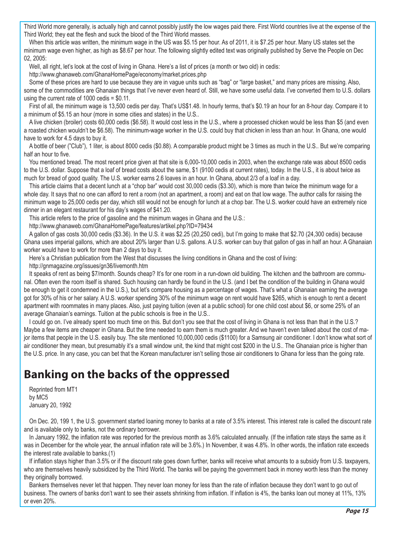Third World more generally, is actually high and cannot possibly justify the low wages paid there. First World countries live at the expense of the Third World; they eat the flesh and suck the blood of the Third World masses.

When this article was written, the minimum wage in the US was \$5.15 per hour. As of 2011, it is \$7.25 per hour. Many US states set the minimum wage even higher, as high as \$8.67 per hour. The following slightly edited text was originally published by Serve the People on Dec 02, 2005:

Well, all right, let's look at the cost of living in Ghana. Here's a list of prices (a month or two old) in cedis:

http://www.ghanaweb.com/GhanaHomePage/economy/market.prices.php

Some of these prices are hard to use because they are in vague units such as "bag" or "large basket," and many prices are missing. Also, some of the commodities are Ghanaian things that I've never even heard of. Still, we have some useful data. I've converted them to U.S. dollars using the current rate of 1000 cedis = \$0.11.

First of all, the minimum wage is 13,500 cedis per day. That's US\$1.48. In hourly terms, that's \$0.19 an hour for an 8-hour day. Compare it to a minimum of \$5.15 an hour (more in some cities and states) in the U.S..

A live chicken (broiler) costs 60,000 cedis (\$6.58). It would cost less in the U.S., where a processed chicken would be less than \$5 (and even a roasted chicken wouldn't be \$6.58). The minimum-wage worker in the U.S. could buy that chicken in less than an hour. In Ghana, one would have to work for 4.5 days to buy it.

A bottle of beer ("Club"), 1 liter, is about 8000 cedis (\$0.88). A comparable product might be 3 times as much in the U.S.. But we're comparing half an hour to five.

You mentioned bread. The most recent price given at that site is 6,000-10,000 cedis in 2003, when the exchange rate was about 8500 cedis to the U.S. dollar. Suppose that a loaf of bread costs about the same, \$1 (9100 cedis at current rates), today. In the U.S., it is about twice as much for bread of good quality. The U.S. worker earns 2.6 loaves in an hour. In Ghana, about 2/3 of a loaf in a day.

This article claims that a decent lunch at a "chop bar" would cost 30,000 cedis (\$3.30), which is more than twice the minimum wage for a whole day. It says that no one can afford to rent a room (not an apartment, a room) and eat on that low wage. The author calls for raising the minimum wage to 25,000 cedis per day, which still would not be enough for lunch at a chop bar. The U.S. worker could have an extremely nice dinner in an elegant restaurant for his day's wages of \$41.20.

This article refers to the price of gasoline and the minimum wages in Ghana and the U.S.:

http://www.ghanaweb.com/GhanaHomePage/features/artikel.php?ID=79434

A gallon of gas costs 30,000 cedis (\$3.36). In the U.S. it was \$2.25 (20,250 cedi), but I'm going to make that \$2.70 (24,300 cedis) because Ghana uses imperial gallons, which are about 20% larger than U.S. gallons. A U.S. worker can buy that gallon of gas in half an hour. A Ghanaian worker would have to work for more than 2 days to buy it.

Here's a Christian publication from the West that discusses the living conditions in Ghana and the cost of living:

http://gnmagazine.org/issues/gn36/livemonth.htm

It speaks of rent as being \$7/month. Sounds cheap? It's for one room in a run-down old building. The kitchen and the bathroom are communal. Often even the room itself is shared. Such housing can hardly be found in the U.S. (and I bet the condition of the building in Ghana would be enough to get it condemned in the U.S.), but let's compare housing as a percentage of wages. That's what a Ghanaian earning the average got for 30% of his or her salary. A U.S. worker spending 30% of the minimum wage on rent would have \$265, which is enough to rent a decent apartment with roommates in many places. Also, just paying tuition (even at a public school) for one child cost about \$6, or some 25% of an average Ghanaian's earnings. Tuition at the public schools is free in the U.S..

I could go on. I've already spent too much time on this. But don't you see that the cost of living in Ghana is not less than that in the U.S.? Maybe a few items are cheaper in Ghana. But the time needed to earn them is much greater. And we haven't even talked about the cost of major items that people in the U.S. easily buy. The site mentioned 10,000,000 cedis (\$1100) for a Samsung air conditioner. I don't know what sort of air conditioner they mean, but presumably it's a small window unit, the kind that might cost \$200 in the U.S.. The Ghanaian price is higher than the U.S. price. In any case, you can bet that the Korean manufacturer isn't selling those air conditioners to Ghana for less than the going rate.

# **Banking on the backs of the oppressed**

Reprinted from MT1 by MC5 January 20, 1992

On Dec. 20, 199 1, the U.S. government started loaning money to banks at a rate of 3.5% interest. This interest rate is called the discount rate and is available only to banks, not the ordinary borrower.

In January 1992, the inflation rate was reported for the previous month as 3.6% calculated annually. (If the inflation rate stays the same as it was in December for the whole year, the annual inflation rate will be 3.6%.) In November, it was 4.8%. In other words, the inflation rate exceeds the interest rate available to banks.(1)

If inflation stays higher than 3.5% or if the discount rate goes down further, banks will receive what amounts to a subsidy from U.S. taxpayers, who are themselves heavily subsidized by the Third World. The banks will be paying the government back in money worth less than the money they originally borrowed.

Bankers themselves never let that happen. They never loan money for less than the rate of inflation because they don't want to go out of business. The owners of banks don't want to see their assets shrinking from inflation. If inflation is 4%, the banks loan out money at 11%, 13% or even 20%.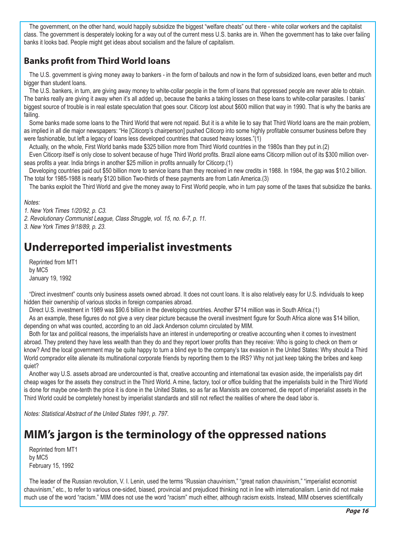The government, on the other hand, would happily subsidize the biggest "welfare cheats" out there - white collar workers and the capitalist class. The government is desperately looking for a way out of the current mess U.S. banks are in. When the government has to take over failing banks it looks bad. People might get ideas about socialism and the failure of capitalism.

### **Banks profit from Third World loans**

The U.S. government is giving money away to bankers - in the form of bailouts and now in the form of subsidized loans, even better and much bigger than student loans.

The U.S. bankers, in turn, are giving away money to white-collar people in the form of loans that oppressed people are never able to obtain. The banks really are giving it away when it's all added up, because the banks a taking losses on these loans to white-collar parasites. I banks' biggest source of trouble is in real estate speculation that goes sour. Citicorp lost about \$600 million that way in 1990. That is why the banks are failing.

Some banks made some loans to the Third World that were not repaid. But it is a white lie to say that Third World loans are the main problem, as implied in all die major newspapers: "He [Citicorp's chairperson] pushed Citicorp into some highly profitable consumer business before they were fashionable, but left a legacy of loans less developed countries that caused heavy losses."(1)

Actually, on the whole, First World banks made \$325 billion more from Third World countries in the 1980s than they put in.(2)

Even Citicorp itself is only close to solvent because of huge Third World profits. Brazil alone earns Citicorp million out of its \$300 million overseas profits a year. India brings in another \$25 million in profits annually for Citicorp.(1)

Developing countries paid out \$50 billion more to service loans than they received in new credits in 1988. In 1984, the gap was \$10.2 billion. The total for 1985-1988 is nearly \$120 billion Two-thirds of these payments are from Latin America.(3)

The banks exploit the Third World and give the money away to First World people, who in turn pay some of the taxes that subsidize the banks.

Notes:

1. New York Times 1/20/92, p. C3.

2. Revolutionary Communist League, Class Struggle, vol. 15, no. 6-7, p. 11.

3. New York Times 9/18/89, p. 23.

# **Underreported imperialist investments**

Reprinted from MT1 by MC5 January 19, 1992

"Direct investment" counts only business assets owned abroad. It does not count loans. It is also relatively easy for U.S. individuals to keep hidden their ownership of various stocks in foreign companies abroad.

Direct U.S. investment in 1989 was \$90.6 billion in the developing countries. Another \$714 million was in South Africa.(1)

As an example, these figures do not give a very clear picture because the overall investment figure for South Africa alone was \$14 billion, depending on what was counted, according to an old Jack Anderson column circulated by MIM.

Both for tax and political reasons, the imperialists have an interest in underreporting or creative accounting when it comes to investment abroad. They pretend they have less wealth than they do and they report lower profits than they receive: Who is going to check on them or know? And the local government may be quite happy to turn a blind eye to the company's tax evasion in the United States: Why should a Third World comprador elite alienate its multinational corporate friends by reporting them to the IRS? Why not just keep taking the bribes and keep quiet?

Another way U.S. assets abroad are undercounted is that, creative accounting and international tax evasion aside, the imperialists pay dirt cheap wages for the assets they construct in the Third World. A mine, factory, tool or office building that the imperialists build in the Third World is done for maybe one-tenth the price it is done in the United States, so as far as Marxists are concerned, die report of imperialist assets in the Third World could be completely honest by imperialist standards and still not reflect the realities of where the dead labor is.

Notes: Statistical Abstract of the United States 1991, p. 797.

# **MIM's jargon is the terminology of the oppressed nations**

Reprinted from MT1 by MC5 February 15, 1992

The leader of the Russian revolution, V. I. Lenin, used the terms "Russian chauvinism," "great nation chauvinism," "imperialist economist chauvinism," etc., to refer to various one-sided, biased, provincial and prejudiced thinking not in line with internationalism. Lenin did not make much use of the word "racism." MIM does not use the word "racism" much either, although racism exists. Instead, MIM observes scientifically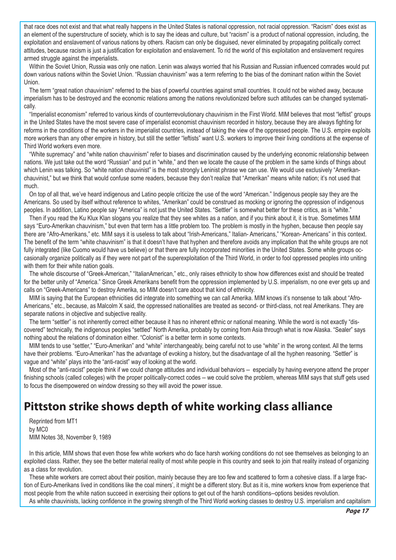that race does not exist and that what really happens in the United States is national oppression, not racial oppression. "Racism" does exist as an element of the superstructure of society, which is to say the ideas and culture, but "racism" is a product of national oppression, including, the exploitation and enslavement of various nations by others. Racism can only be disguised, never eliminated by propagating politically correct attitudes, because racism is just a justification for exploitation and enslavement. To rid the world of this exploitation and enslavement requires armed struggle against the imperialists.

Within the Soviet Union, Russia was only one nation. Lenin was always worried that his Russian and Russian influenced comrades would put down various nations within the Soviet Union. "Russian chauvinism" was a term referring to the bias of the dominant nation within the Soviet Union.

The term "great nation chauvinism" referred to the bias of powerful countries against small countries. It could not be wished away, because imperialism has to be destroyed and the economic relations among the nations revolutionized before such attitudes can be changed systematically.

"Imperialist economism" referred to various kinds of counterrevolutionary chauvinism in the First World. MIM believes that most "leftist" groups in the United States have the most severe case of imperialist economist chauvinism recorded in history, because they are always fighting for reforms in the conditions of the workers in the imperialist countries, instead of taking the view of the oppressed people. The U.S. empire exploits more workers than any other empire in history, but still the settler "leftists" want U.S. workers to improve their living conditions at the expense of Third World workers even more.

"White supremacy" and "white nation chauvinism" refer to biases and discrimination caused by the underlying economic relationship between nations. We just take out the word "Russian" and put in "white," and then we locate the cause of the problem in the same kinds of things about which Lenin was talking. So "white nation chauvinist" is the most strongly Leninist phrase we can use. We would use exclusively "Amerikanchauvinist," but we think that would confuse some readers, because they don't realize that "Amerikan" means white nation; it's not used that much.

On top of all that, we've heard indigenous and Latino people criticize the use of the word "American." Indigenous people say they are the Americans. So used by itself without reference to whites, "Amerikan" could be construed as mocking or ignoring the oppression of indigenous peoples. In addition, Latino people say "America" is not just the United States. "Settler" is somewhat better for these critics, as is "white."

Then if you read the Ku Klux Klan slogans you realize that they see whites as a nation, and if you think about it, it is true. Sometimes MIM says "Euro-Amerikan chauvinism," but even that term has a little problem too. The problem is mostly in the hyphen, because then people say there are "Afro-Amerikans," etc. MIM says it is useless to talk about "Irish-Americans," Italian- Americans," "Korean- Americans" in this context. The benefit of the term "white chauvinism" is that it doesn't have that hyphen and therefore avoids any implication that the white groups are not fully integrated (like Cuomo would have us believe) or that there are fully incorporated minorities in the United States. Some white groups occasionally organize politically as if they were not part of the superexploitation of the Third World, in order to fool oppressed peoples into uniting with them for their white nation goals.

The whole discourse of "Greek-American," "ItalianAmerican," etc., only raises ethnicity to show how differences exist and should be treated for the better unity of "America." Since Greek Amerikans benefit from the oppression implemented by U.S. imperialism, no one ever gets up and calls on "Greek-Americans" to destroy Amerika, so MIM doesn't care about that kind of ethnicity.

MIM is saying that the European ethnicities did integrate into something we can call Amerika. MIM knows it's nonsense to talk about "Afro-Americans," etc., because, as Malcolm X said, the oppressed nationalities are treated as second- or third-class, not real Amerikans. They are separate nations in objective and subjective reality.

The term "settler" is not inherently correct either because it has no inherent ethnic or national meaning. While the word is not exactly "discovered" technically, the indigenous peoples "settled" North Amerika, probably by coming from Asia through what is now Alaska. "Sealer" says nothing about the relations of domination either. "Colonist" is a better term in some contexts.

MIM tends to use "settler," "Euro-Amerikan" and "white" interchangeably, being careful not to use "white" in the wrong context. All the terms have their problems. "Euro-Amerikan" has the advantage of evoking a history, but the disadvantage of all the hyphen reasoning. "Settler" is vague and "white" plays into the "anti-racist" way of looking at the world.

Most of the "anti-racist" people think if we could change attitudes and individual behaviors -- especially by having everyone attend the proper finishing schools (called colleges) with the proper politically-correct codes -- we could solve the problem, whereas MIM says that stuff gets used to focus the disempowered on window dressing so they will avoid the power issue.

### **Pittston strike shows depth of white working class alliance**

Reprinted from MT1 by MC0 MIM Notes 38, November 9, 1989

In this article, MIM shows that even those few white workers who do face harsh working conditions do not see themselves as belonging to an exploited class. Rather, they see the better material reality of most white people in this country and seek to join that reality instead of organizing as a class for revolution.

These white workers are correct about their position, mainly because they are too few and scattered to form a cohesive class. If a large fraction of Euro-Amerikans lived in conditions like the coal miners', it might be a different story. But as it is, mine workers know from experience that most people from the white nation succeed in exercising their options to get out of the harsh conditions--options besides revolution.

As white chauvinists, lacking confidence in the growing strength of the Third World working classes to destroy U.S. imperialism and capitalism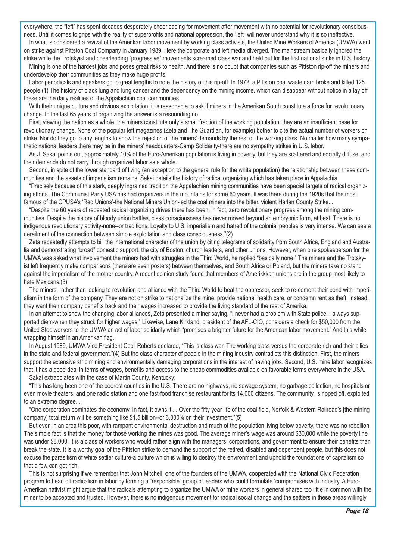everywhere, the "left" has spent decades desperately cheerleading for movement after movement with no potential for revolutionary consciousness. Until it comes to grips with the reality of superprofits and national oppression, the "left" will never understand why it is so ineffective.

In what is considered a revival of the Amerikan labor movement by working class activists, the United Mine Workers of America (UMWA) went on strike against Pittston Coal Company in January 1989. Here the corporate and left media diverged. The mainstream basically ignored the strike while the Trotskyist and cheerleading "progressive" movements screamed class war and held out for the first national strike in U.S. history.

Mining is one of the hardest jobs and poses great risks to health. And there is no doubt that companies such as Pittston rip-off the miners and underdevelop their communities as they make huge profits.

Labor periodicals and speakers go to great lengths to note the history of this rip-off. In 1972, a Pittston coal waste dam broke and killed 125 people.(1) The history of black lung and lung cancer and the dependency on the mining income. which can disappear without notice in a lay off these are the daily realities of the Appalachian coal communities.

With their unique culture and obvious exploitation, it is reasonable to ask if miners in the Amerikan South constitute a force for revolutionary change. In the last 65 years of organizing the answer is a resounding no.

First, viewing the nation as a whole, the miners constitute only a small fraction of the working population; they are an insufficient base for revolutionary change. None of the popular left magazines (Zeta and The Guardian, for example) bother to cite the actual number of workers on strike. Nor do they go to any lengths to show the rejection of the miners' demands by the rest of the working class. No matter how many sympathetic national leaders there may be in the miners' headquarters-Camp Solidarity-there are no sympathy strikes in U.S. labor.

As J. Sakai points out, approximately 10% of the Euro-Amerikan population is living in poverty, but they are scattered and socially diffuse, and their demands do not carry through organized labor as a whole.

Second, in spite of the lower standard of living (an exception to the general rule for the white population) the relationship between these communities and the assets of imperialism remains. Sakai details the history of radical organizing which has taken place in Appalachia.

"Precisely because of this stark, deeply ingrained tradition the Appalachian mining communities have been special targets of radical organizing efforts. The Communist Party USA has had organizers in the mountains for some 60 years. It was there during the 1920s that the most famous of the CPUSA's 'Red Unions'-the National Miners Union-led the coal miners into the bitter, violent Harlan County Strike....

"Despite the 60 years of repeated radical organizing drives there has been, in fact, zero revolutionary progress among the mining communities. Despite the history of bloody union battles, class consciousness has never moved beyond an embryonic form, at best. There is no indigenous revolutionary activity-none--or traditions. Loyalty to U.S. imperialism and hatred of the colonial peoples is very intense. We can see a derailment of the connection between simple exploitation and class consciousness."(2)

Zeta repeatedly attempts to bill the international character of the union by citing telegrams of solidarity from South Africa, England and Australia and demonstrating "broad" domestic support: the city of Boston, church leaders, and other unions. However, when one spokesperson for the UMWA was asked what involvement the miners had with struggles in the Third World, he replied "basically none." The miners and the Trotskyist left frequently make comparisons (there are even posters) between themselves, and South Africa or Poland, but the miners take no stand against the imperialism of the mother country. A recent opinion study found that members of Amerikkkan unions are in the group most likely to hate Mexicans.(3)

The miners, rather than looking to revolution and alliance with the Third World to beat the oppressor, seek to re-cement their bond with imperialism in the form of the company. They are not on strike to nationalize the mine, provide national health care, or condemn rent as theft. Instead, they want their company benefits back and their wages increased to provide the living standard of the rest of Amerika.

In an attempt to show the changing labor alliances, Zeta presented a miner saying, "I never had a problem with State police, I always supported diem-when they struck for higher wages." Likewise, Lane Kirkland, president of the AFL-CIO, considers a check for \$50,000 from the United Steelworkers to the UMWA an act of labor solidarity which "promises a brighter future for the American labor movement." And this while wrapping himself in an Amerikan flag.

In August 1989, UMWA Vice President Cecil Roberts declared, "This is class war. The working class versus the corporate rich and their allies in the state and federal government."(4) But the class character of people in the mining industry contradicts this distinction. First, the miners support the extensive strip mining and environmentally damaging corporations in the interest of having jobs. Second, U.S. mine labor recognizes that it has a good deal in terms of wages, benefits and access to the cheap commodities available on favorable terms everywhere in the USA.

Sakai extrapolates with the case of Martin County, Kentucky:

"This has long been one of the poorest counties in the U.S. There are no highways, no sewage system, no garbage collection, no hospitals or even movie theaters, and one radio station and one fast-food franchise restaurant for its 14,000 citizens. The community, is ripped off, exploited to an extreme degree....

"One corporation dominates the economy. In fact, it owns it.... Over the fifty year life of the coal field, Norfolk & Western Railroad's [the mining company] total return will be something like \$1.5 billion--or 6,000% on their investment."(5)

But even in an area this poor, with rampant environmental destruction and much of the population living below poverty, there was no rebellion. The simple fact is that the money for those working the mines was good. The average miner's wage was around \$30,000 while the poverty line was under \$8,000. It is a class of workers who would rather align with the managers, corporations, and government to ensure their benefits than break the state. It is a worthy goal of the Pittston strike to demand the support of the retired, disabled and dependent people, but this does not excuse the parasitism of white settler culture-a culture which is willing to destroy the environment and uphold the foundations of capitalism so that a few can get rich.

This is not surprising if we remember that John Mitchell, one of the founders of the UMWA, cooperated with the National Civic Federation program to head off radicalism in labor by forming a "responsible" group of leaders who could formulate 'compromises with industry. A Euro-Amerikan nativist might argue that the radicals attempting to organize the UMWA or mine workers in general shared too little in common with the miner to be accepted and trusted. However, there is no indigenous movement for radical social change and the settlers in these areas willingly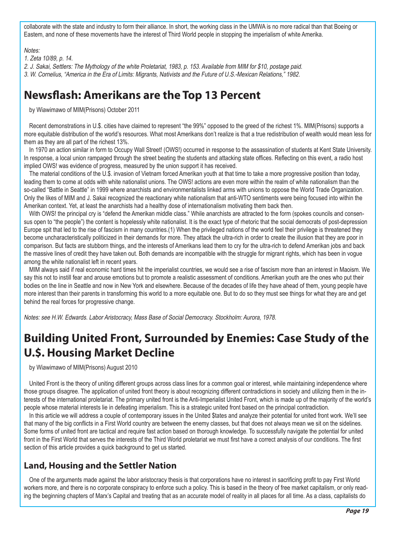collaborate with the state and industry to form their alliance. In short, the working class in the UMWA is no more radical than that Boeing or Eastem, and none of these movements have the interest of Third World people in stopping the imperialism of white Amerika.

#### Notes:

1. Zeta 10/89, p. 14.

2. J. Sakai, Settlers: The Mythology of the white Proletariat, 1983, p. 153. Available from MIM for \$10, postage paid. 3. W. Cornelius, "America in the Era of Limits: Migrants, Nativists and the Future of U.S.-Mexican Relations," 1982.

### **Newsflash: Amerikans are the Top 13 Percent**

by Wiawimawo of MIM(Prisons) October 2011

Recent demonstrations in U.\$. cities have claimed to represent "the 99%" opposed to the greed of the richest 1%. MIM(Prisons) supports a more equitable distribution of the world's resources. What most Amerikans don't realize is that a true redistribution of wealth would mean less for them as they are all part of the richest 13%.

In 1970 an action similar in form to Occupy Wall Street! (OWS!) occurred in response to the assassination of students at Kent State University. In response, a local union rampaged through the street beating the students and attacking state offices. Reflecting on this event, a radio host implied OWS! was evidence of progress, measured by the union support it has received.

The material conditions of the U.\$. invasion of Vietnam forced Amerikan youth at that time to take a more progressive position than today, leading them to come at odds with white nationalist unions. The OWS! actions are even more within the realm of white nationalism than the so-called "Battle in Seattle" in 1999 where anarchists and environmentalists linked arms with unions to oppose the World Trade Organization. Only the likes of MIM and J. Sakai recognized the reactionary white nationalism that anti-WTO sentiments were being focused into within the Amerikan context. Yet, at least the anarchists had a healthy dose of internationalism motivating them back then.

With OWS! the principal cry is "defend the Amerikan middle class." While anarchists are attracted to the form (spokes councils and consensus open to "the people") the content is hopelessly white nationalist. It is the exact type of rhetoric that the social democrats of post-depression Europe spit that led to the rise of fascism in many countries.(1) When the privileged nations of the world feel their privilege is threatened they become uncharacteristically politicized in their demands for more. They attack the ultra-rich in order to create the illusion that they are poor in comparison. But facts are stubborn things, and the interests of Amerikans lead them to cry for the ultra-rich to defend Amerikan jobs and back the massive lines of credit they have taken out. Both demands are incompatible with the struggle for migrant rights, which has been in vogue among the white nationalist left in recent years.

MIM always said if real economic hard times hit the imperialist countries, we would see a rise of fascism more than an interest in Maoism. We say this not to instill fear and arouse emotions but to promote a realistic assessment of conditions. Amerikan youth are the ones who put their bodies on the line in Seattle and now in New York and elsewhere. Because of the decades of life they have ahead of them, young people have more interest than their parents in transforming this world to a more equitable one. But to do so they must see things for what they are and get behind the real forces for progressive change.

Notes: see H.W. Edwards. Labor Aristocracy, Mass Base of Social Democracy. Stockholm: Aurora, 1978.

# **Building United Front, Surrounded by Enemies: Case Study of the U.\$. Housing Market Decline**

by Wiawimawo of MIM(Prisons) August 2010

United Front is the theory of uniting different groups across class lines for a common goal or interest, while maintaining independence where those groups disagree. The application of united front theory is about recognizing different contradictions in society and utilizing them in the interests of the international proletariat. The primary united front is the Anti-Imperialist United Front, which is made up of the majority of the world's people whose material interests lie in defeating imperialism. This is a strategic united front based on the principal contradiction.

In this article we will address a couple of contemporary issues in the United \$tates and analyze their potential for united front work. We'll see that many of the big conflicts in a First World country are between the enemy classes, but that does not always mean we sit on the sidelines. Some forms of united front are tactical and require fast action based on thorough knowledge. To successfully navigate the potential for united front in the First World that serves the interests of the Third World proletariat we must first have a correct analysis of our conditions. The first section of this article provides a quick background to get us started.

### **Land, Housing and the Settler Nation**

One of the arguments made against the labor aristocracy thesis is that corporations have no interest in sacrificing profit to pay First World workers more, and there is no corporate conspiracy to enforce such a policy. This is based in the theory of free market capitalism, or only reading the beginning chapters of Marx's Capital and treating that as an accurate model of reality in all places for all time. As a class, capitalists do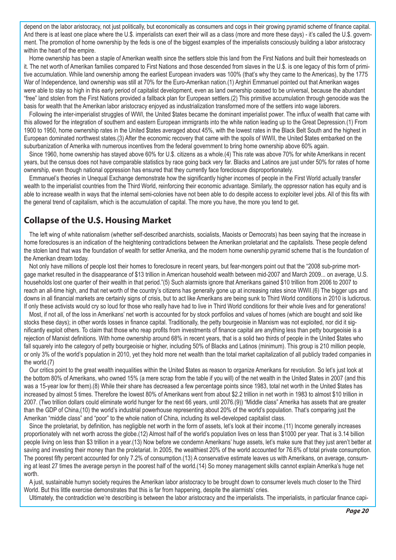depend on the labor aristocracy, not just politically, but economically as consumers and cogs in their growing pyramid scheme of finance capital. And there is at least one place where the U.\$. imperialists can exert their will as a class (more and more these days) - it's called the U.\$. government. The promotion of home ownership by the feds is one of the biggest examples of the imperialists consciously building a labor aristocracy within the heart of the empire.

Home ownership has been a staple of Amerikan wealth since the settlers stole this land from the First Nations and built their homesteads on it. The net worth of Amerikan families compared to First Nations and those descended from slaves in the U.\$. is one legacy of this form of primitive accumulation. While land ownership among the earliest European invaders was 100% (that's why they came to the Americas), by the 1775 War of Independence, land ownership was still at 70% for the Euro-Amerikan nation.(1) Arghiri Emmanuel pointed out that Amerikan wages were able to stay so high in this early period of capitalist development, even as land ownership ceased to be universal, because the abundant "free" land stolen from the First Nations provided a fallback plan for European settlers.(2) This primitive accumulation through genocide was the basis for wealth that the Amerikan labor aristocracy enjoyed as industrialization transformed more of the settlers into wage laborers.

Following the inter-imperialist struggles of WWI, the United \$tates became the dominant imperialist power. The influx of wealth that came with this allowed for the integration of southern and eastern European immigrants into the white nation leading up to the Great Depression.(1) From 1900 to 1950, home ownership rates in the United \$tates averaged about 45%, with the lowest rates in the Black Belt South and the highest in European dominated northwest states.(3) After the economic recovery that came with the spoils of WWII, the United \$tates embarked on the suburbanization of Amerika with numerous incentives from the federal government to bring home ownership above 60% again.

Since 1960, home ownership has stayed above 60% for U.\$. citizens as a whole.(4) This rate was above 70% for white Amerikans in recent years, but the census does not have comparable statistics by race going back very far. Blacks and Latinos are just under 50% for rates of home ownership, even though national oppression has ensured that they currently face foreclosure disproportionately.

Emmanuel's theories in Unequal Exchange demonstrate how the significantly higher incomes of people in the First World actually transfer wealth to the imperialist countries from the Third World, reinforcing their economic advantage. Similarly, the oppressor nation has equity and is able to increase wealth in ways that the internal semi-colonies have not been able to do despite access to exploiter level jobs. All of this fits with the general trend of capitalism, which is the accumulation of capital. The more you have, the more you tend to get.

### **Collapse of the U.\$. Housing Market**

The left wing of white nationalism (whether self-described anarchists, socialists, Maoists or Democrats) has been saying that the increase in home foreclosures is an indication of the heightening contradictions between the Amerikan proletariat and the capitalists. These people defend the stolen land that was the foundation of wealth for settler Amerika, and the modern home ownership pyramid scheme that is the foundation of the Amerikan dream today.

Not only have millions of people lost their homes to foreclosure in recent years, but fear-mongers point out that the "2008 sub-prime mortgage market resulted in the disappearance of \$13 trillion in American household wealth between mid-2007 and March 2009... on average, U.S. households lost one quarter of their wealth in that period."(5) Such alarmists ignore that Amerikans gained \$10 trillion from 2006 to 2007 to reach an all-time high, and that net worth of the country's citizens has generally gone up at increasing rates since WWII.(6) The bigger ups and downs in all financial markets are certainly signs of crisis, but to act like Amerikans are being sunk to Third World conditions in 2010 is ludicrous. If only these activists would cry so loud for those who really have had to live in Third World conditions for their whole lives and for generations!

Most, if not all, of the loss in Amerikans' net worth is accounted for by stock portfolios and values of homes (which are bought and sold like stocks these days); in other words losses in finance capital. Traditionally, the petty bourgeoisie in Marxism was not exploited, nor did it significantly exploit others. To claim that those who reap profits from investments of finance capital are anything less than petty bourgeoisie is a rejection of Marxist definitions. With home ownership around 68% in recent years, that is a solid two thirds of people in the United \$tates who fall squarely into the category of petty bourgeoisie or higher, including 50% of Blacks and Latinos (minimum). This group is 210 million people, or only 3% of the world's population in 2010, yet they hold more net wealth than the total market capitalization of all publicly traded companies in the world.(7)

Our critics point to the great wealth inequalities within the United \$tates as reason to organize Amerikans for revolution. So let's just look at the bottom 80% of Amerikans, who owned 15% (a mere scrap from the table if you will) of the net wealth in the United \$tates in 2007 (and this was a 15-year low for them).(8) While their share has decreased a few percentage points since 1983, total net worth in the United \$tates has increased by almost 5 times. Therefore the lowest 80% of Amerikans went from about \$2.2 trillion in net worth in 1983 to almost \$10 trillion in 2007. (Two trillion dollars could eliminate world hunger for the next 66 years, until 2076.(9)) "Middle class" Amerika has assets that are greater than the GDP of China,(10) the world's industrial powerhouse representing about 20% of the world's population. That's comparing just the Amerikan "middle class" and "poor" to the whole nation of China, including its well-developed capitalist class.

Since the proletariat, by definition, has negligible net worth in the form of assets, let's look at their income.(11) Income generally increases proportionately with net worth across the globe.(12) Almost half of the world's population lives on less than \$1000 per year. That is 3.14 billion people living on less than \$3 trillion in a year.(13) Now before we condemn Amerikans' huge assets, let's make sure that they just aren't better at saving and investing their money than the proletariat. In 2005, the wealthiest 20% of the world accounted for 76.6% of total private consumption. The poorest fifty percent accounted for only 7.2% of consumption.(13) A conservative estimate leaves us with Amerikans, on average, consuming at least 27 times the average persyn in the poorest half of the world.(14) So money management skills cannot explain Amerika's huge net worth.

A just, sustainable humyn society requires the Amerikan labor aristocracy to be brought down to consumer levels much closer to the Third World. But this little exercise demonstrates that this is far from happening, despite the alarmists' cries.

Ultimately, the contradiction we're describing is between the labor aristocracy and the imperialists. The imperialists, in particular finance capi-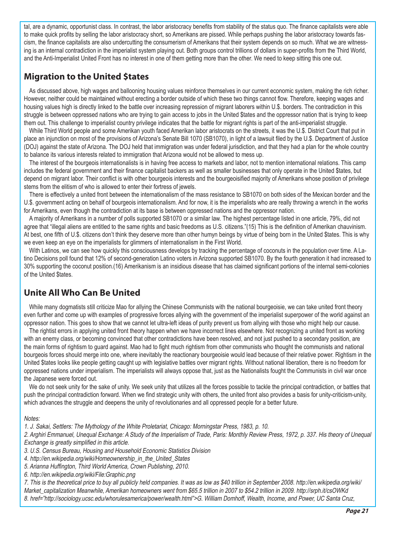tal, are a dynamic, opportunist class. In contrast, the labor aristocracy benefits from stability of the status quo. The finance capitalists were able to make quick profits by selling the labor aristocracy short, so Amerikans are pissed. While perhaps pushing the labor aristocracy towards fascism, the finance capitalists are also undercutting the consumerism of Amerikans that their system depends on so much. What we are witnessing is an internal contradiction in the imperialist system playing out. Both groups control trillions of dollars in super-profits from the Third World, and the Anti-Imperialist United Front has no interest in one of them getting more than the other. We need to keep sitting this one out.

### **Migration to the United \$tates**

As discussed above, high wages and ballooning housing values reinforce themselves in our current economic system, making the rich richer. However, neither could be maintained without erecting a border outside of which these two things cannot flow. Therefore, keeping wages and housing values high is directly linked to the battle over increasing repression of migrant laborers within U.\$. borders. The contradiction in this struggle is between oppressed nations who are trying to gain access to jobs in the United \$tates and the oppressor nation that is trying to keep them out. This challenge to imperialist country privilege indicates that the battle for migrant rights is part of the anti-imperialist struggle.

While Third World people and some Amerikan youth faced Amerikan labor aristocrats on the streets, it was the U.\$. District Court that put in place an injunction on most of the provisions of Arizona's Senate Bill 1070 (SB1070), in light of a lawsuit filed by the U.\$. Department of Justice (DOJ) against the state of Arizona. The DOJ held that immigration was under federal jurisdiction, and that they had a plan for the whole country to balance its various interests related to immigration that Arizona would not be allowed to mess up.

The interest of the bourgeois internationalists is in having free access to markets and labor, not to mention international relations. This camp includes the federal government and their finance capitalist backers as well as smaller businesses that only operate in the United \$tates, but depend on migrant labor. Their conflict is with other bourgeois interests and the bourgeoisified majority of Amerikans whose position of privilege stems from the elitism of who is allowed to enter their fortress of jewels.

There is effectively a united front between the internationalism of the mass resistance to SB1070 on both sides of the Mexican border and the U.\$. government acting on behalf of bourgeois internationalism. And for now, it is the imperialists who are really throwing a wrench in the works for Amerikans, even though the contradiction at its base is between oppressed nations and the oppressor nation.

A majority of Amerikans in a number of polls supported SB1070 or a similar law. The highest percentage listed in one article, 79%, did not agree that "illegal aliens are entitled to the same rights and basic freedoms as U.S. citizens."(15) This is the definition of Amerikan chauvinism. At best, one fifth of U.\$. citizens don't think they deserve more than other humyn beings by virtue of being born in the United \$tates. This is why we even keep an eye on the imperialists for glimmers of internationalism in the First World.

With Latinos, we can see how quickly this consciousness develops by tracking the percentage of coconuts in the population over time. A Latino Decisions poll found that 12% of second-generation Latino voters in Arizona supported SB1070. By the fourth generation it had increased to 30% supporting the coconut position.(16) Amerikanism is an insidious disease that has claimed significant portions of the internal semi-colonies of the United \$tates.

### **Unite All Who Can Be United**

While many dogmatists still criticize Mao for allying the Chinese Communists with the national bourgeoisie, we can take united front theory even further and come up with examples of progressive forces allying with the government of the imperialist superpower of the world against an oppressor nation. This goes to show that we cannot let ultra-left ideas of purity prevent us from allying with those who might help our cause.

The rightist errors in applying united front theory happen when we have incorrect lines elsewhere. Not recognizing a united front as working with an enemy class, or becoming convinced that other contradictions have been resolved, and not just pushed to a secondary position, are the main forms of rightism to guard against. Mao had to fight much rightism from other communists who thought the communists and national bourgeois forces should merge into one, where inevitably the reactionary bourgeoisie would lead because of their relative power. Rightism in the United \$tates looks like people getting caught up with legislative battles over migrant rights. Without national liberation, there is no freedom for oppressed nations under imperialism. The imperialists will always oppose that, just as the Nationalists fought the Communists in civil war once the Japanese were forced out.

We do not seek unity for the sake of unity. We seek unity that utilizes all the forces possible to tackle the principal contradiction, or battles that push the principal contradiction forward. When we find strategic unity with others, the united front also provides a basis for unity-criticism-unity, which advances the struggle and deepens the unity of revolutionaries and all oppressed people for a better future.

#### Notes:

1. J. Sakai, Settlers: The Mythology of the White Proletariat, Chicago: Morningstar Press, 1983, p. 10.

2. Arghiri Emmanuel, Unequal Exchange: A Study of the Imperialism of Trade, Paris: Monthly Review Press, 1972, p. 337. His theory of Unequal Exchange is greatly simplified in this article.

3. U.S. Census Bureau, Housing and Household Economic Statistics Division

4. http://en.wikipedia.org/wiki/Homeownership\_in\_the\_United\_States

5. Arianna Huffington, Third World America, Crown Publishing, 2010.

6. http://en.wikipedia.org/wiki/File:Graphic.png

7. This is the theoretical price to buy all publicly held companies. It was as low as \$40 trillion in September 2008. http://en.wikipedia.org/wiki/ Market capitalization Meanwhile, Amerikan homeowners went from \$65.5 trillion in 2007 to \$54.2 trillion in 2009. http://srph.it/csOWKd

8. href="http://sociology.ucsc.edu/whorulesamerica/power/wealth.html">G. William Domhoff, Wealth, Income, and Power, UC Santa Cruz,